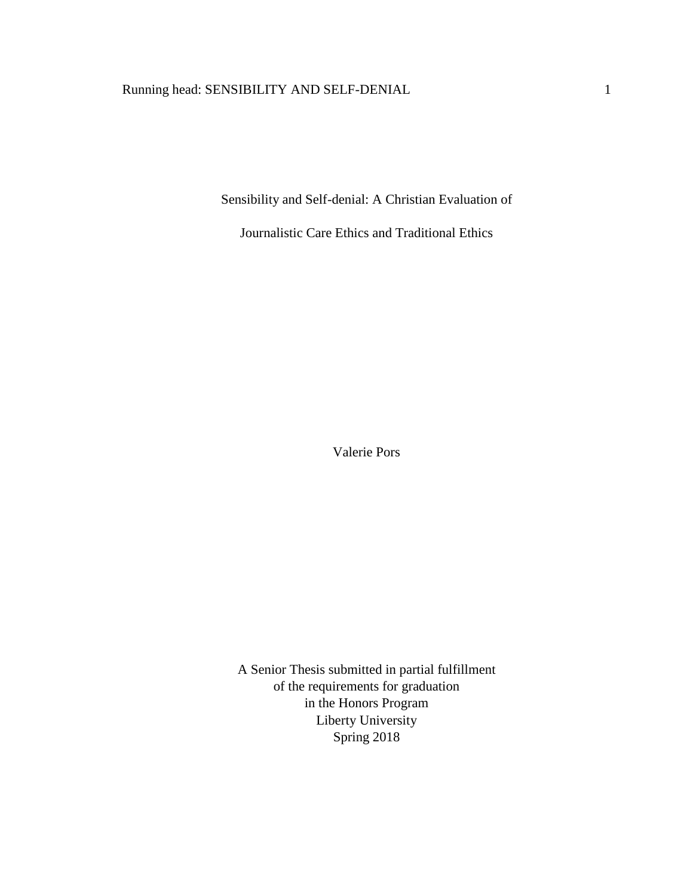# Running head: SENSIBILITY AND SELF-DENIAL 1

Sensibility and Self-denial: A Christian Evaluation of

Journalistic Care Ethics and Traditional Ethics

Valerie Pors

A Senior Thesis submitted in partial fulfillment of the requirements for graduation in the Honors Program Liberty University Spring 2018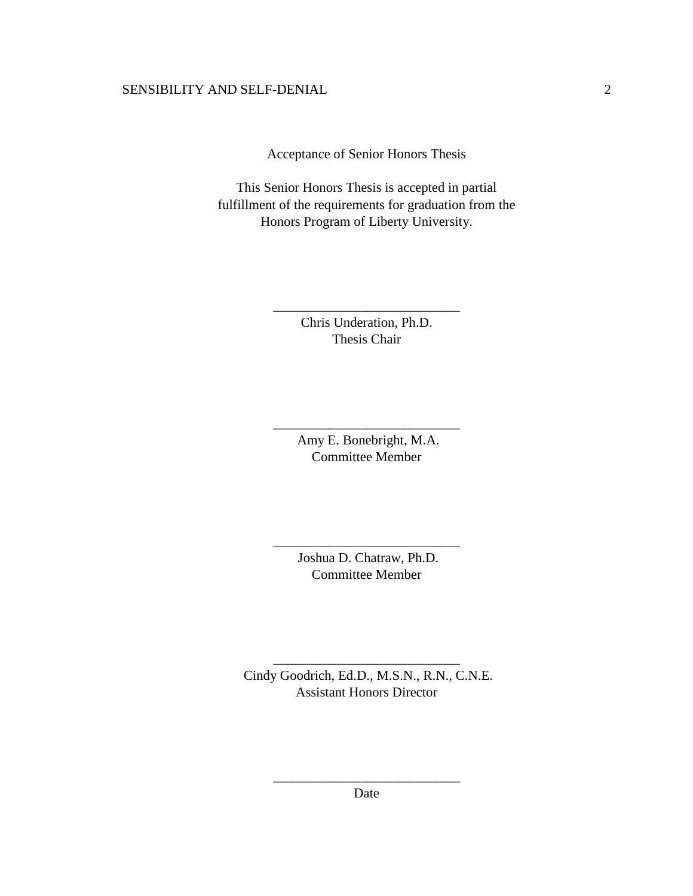Acceptance of Senior Honors Thesis

This Senior Honors Thesis is accepted in partial fulfillment of the requirements for graduation from the Honors Program of Liberty University.

> Chris Underation, Ph.D. Thesis Chair

\_\_\_\_\_\_\_\_\_\_\_\_\_\_\_\_\_\_\_\_\_\_\_\_\_\_\_\_\_\_

Amy E. Bonebright, M.A. Committee Member

\_\_\_\_\_\_\_\_\_\_\_\_\_\_\_\_\_\_\_\_\_\_\_\_\_\_\_\_\_\_

Joshua D. Chatraw, Ph.D. Committee Member

\_\_\_\_\_\_\_\_\_\_\_\_\_\_\_\_\_\_\_\_\_\_\_\_\_\_\_\_\_\_

Cindy Goodrich, Ed.D., M.S.N., R.N., C.N.E. Assistant Honors Director

\_\_\_\_\_\_\_\_\_\_\_\_\_\_\_\_\_\_\_\_\_\_\_\_\_\_\_\_\_\_

\_\_\_\_\_\_\_\_\_\_\_\_\_\_\_\_\_\_\_\_\_\_\_\_\_\_\_\_\_\_ Date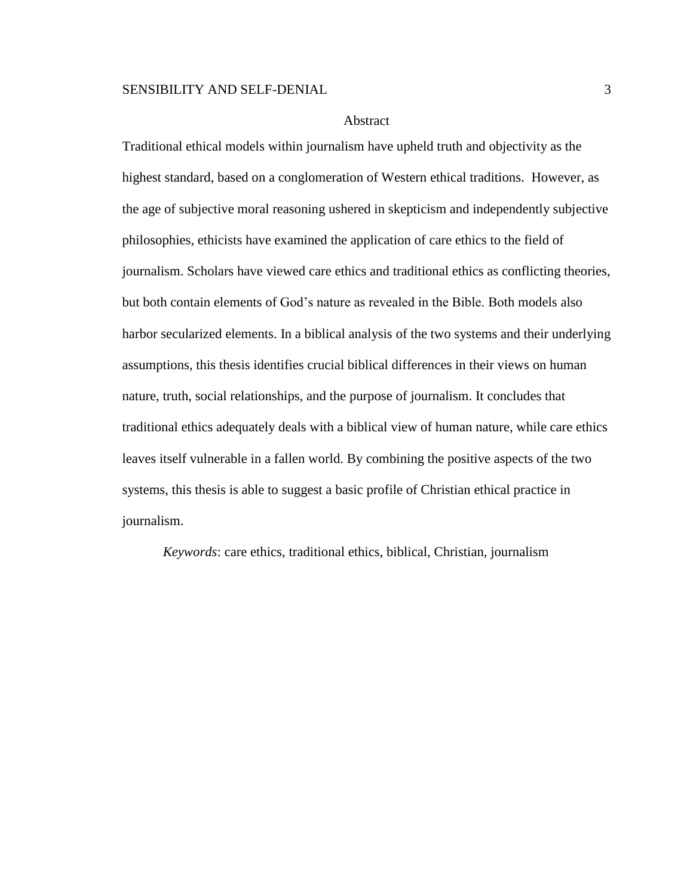#### Abstract

Traditional ethical models within journalism have upheld truth and objectivity as the highest standard, based on a conglomeration of Western ethical traditions. However, as the age of subjective moral reasoning ushered in skepticism and independently subjective philosophies, ethicists have examined the application of care ethics to the field of journalism. Scholars have viewed care ethics and traditional ethics as conflicting theories, but both contain elements of God's nature as revealed in the Bible. Both models also harbor secularized elements. In a biblical analysis of the two systems and their underlying assumptions, this thesis identifies crucial biblical differences in their views on human nature, truth, social relationships, and the purpose of journalism. It concludes that traditional ethics adequately deals with a biblical view of human nature, while care ethics leaves itself vulnerable in a fallen world. By combining the positive aspects of the two systems, this thesis is able to suggest a basic profile of Christian ethical practice in journalism.

*Keywords*: care ethics, traditional ethics, biblical, Christian, journalism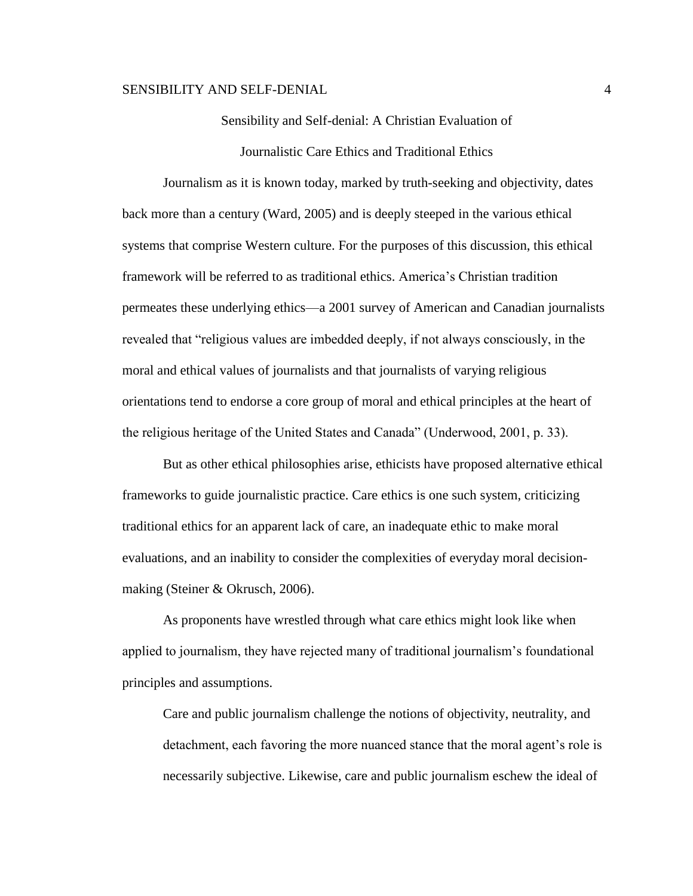# Sensibility and Self-denial: A Christian Evaluation of

Journalistic Care Ethics and Traditional Ethics

Journalism as it is known today, marked by truth-seeking and objectivity, dates back more than a century (Ward, 2005) and is deeply steeped in the various ethical systems that comprise Western culture. For the purposes of this discussion, this ethical framework will be referred to as traditional ethics. America's Christian tradition permeates these underlying ethics—a 2001 survey of American and Canadian journalists revealed that "religious values are imbedded deeply, if not always consciously, in the moral and ethical values of journalists and that journalists of varying religious orientations tend to endorse a core group of moral and ethical principles at the heart of the religious heritage of the United States and Canada" (Underwood, 2001, p. 33).

But as other ethical philosophies arise, ethicists have proposed alternative ethical frameworks to guide journalistic practice. Care ethics is one such system, criticizing traditional ethics for an apparent lack of care, an inadequate ethic to make moral evaluations, and an inability to consider the complexities of everyday moral decisionmaking (Steiner & Okrusch, 2006).

As proponents have wrestled through what care ethics might look like when applied to journalism, they have rejected many of traditional journalism's foundational principles and assumptions.

Care and public journalism challenge the notions of objectivity, neutrality, and detachment, each favoring the more nuanced stance that the moral agent's role is necessarily subjective. Likewise, care and public journalism eschew the ideal of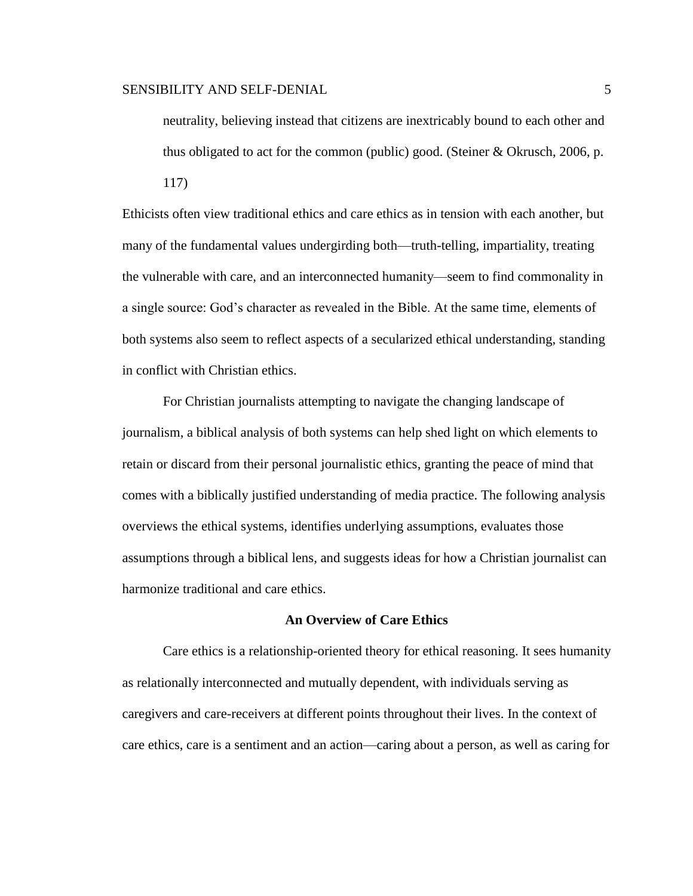neutrality, believing instead that citizens are inextricably bound to each other and thus obligated to act for the common (public) good. (Steiner  $&$  Okrusch, 2006, p.

117)

Ethicists often view traditional ethics and care ethics as in tension with each another, but many of the fundamental values undergirding both—truth-telling, impartiality, treating the vulnerable with care, and an interconnected humanity—seem to find commonality in a single source: God's character as revealed in the Bible. At the same time, elements of both systems also seem to reflect aspects of a secularized ethical understanding, standing in conflict with Christian ethics.

For Christian journalists attempting to navigate the changing landscape of journalism, a biblical analysis of both systems can help shed light on which elements to retain or discard from their personal journalistic ethics, granting the peace of mind that comes with a biblically justified understanding of media practice. The following analysis overviews the ethical systems, identifies underlying assumptions, evaluates those assumptions through a biblical lens, and suggests ideas for how a Christian journalist can harmonize traditional and care ethics.

#### **An Overview of Care Ethics**

Care ethics is a relationship-oriented theory for ethical reasoning. It sees humanity as relationally interconnected and mutually dependent, with individuals serving as caregivers and care-receivers at different points throughout their lives. In the context of care ethics, care is a sentiment and an action—caring about a person, as well as caring for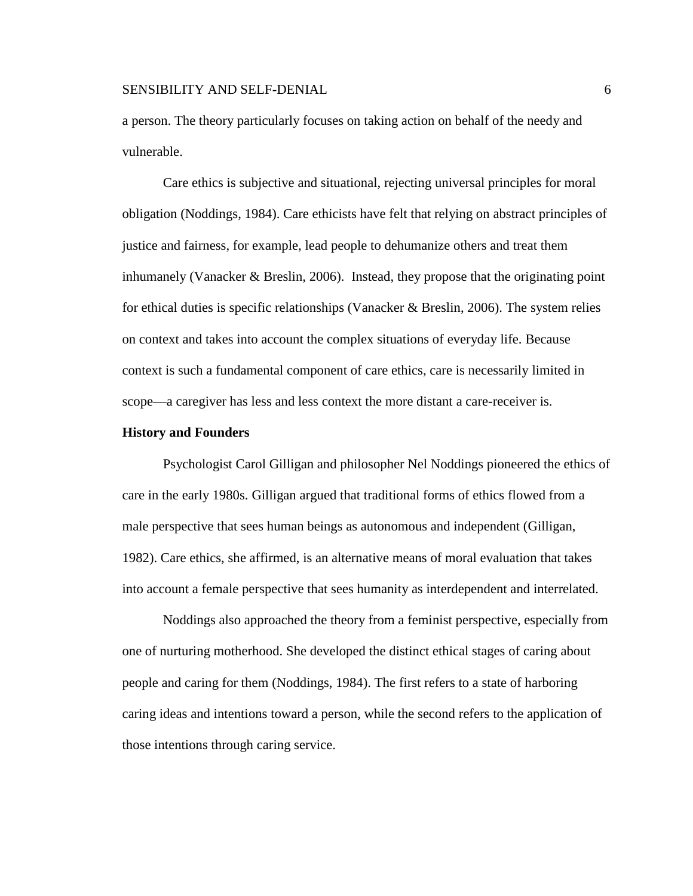a person. The theory particularly focuses on taking action on behalf of the needy and vulnerable.

Care ethics is subjective and situational, rejecting universal principles for moral obligation (Noddings, 1984). Care ethicists have felt that relying on abstract principles of justice and fairness, for example, lead people to dehumanize others and treat them inhumanely (Vanacker & Breslin, 2006). Instead, they propose that the originating point for ethical duties is specific relationships (Vanacker  $\&$  Breslin, 2006). The system relies on context and takes into account the complex situations of everyday life. Because context is such a fundamental component of care ethics, care is necessarily limited in scope—a caregiver has less and less context the more distant a care-receiver is.

#### **History and Founders**

Psychologist Carol Gilligan and philosopher Nel Noddings pioneered the ethics of care in the early 1980s. Gilligan argued that traditional forms of ethics flowed from a male perspective that sees human beings as autonomous and independent (Gilligan, 1982). Care ethics, she affirmed, is an alternative means of moral evaluation that takes into account a female perspective that sees humanity as interdependent and interrelated.

Noddings also approached the theory from a feminist perspective, especially from one of nurturing motherhood. She developed the distinct ethical stages of caring about people and caring for them (Noddings, 1984). The first refers to a state of harboring caring ideas and intentions toward a person, while the second refers to the application of those intentions through caring service.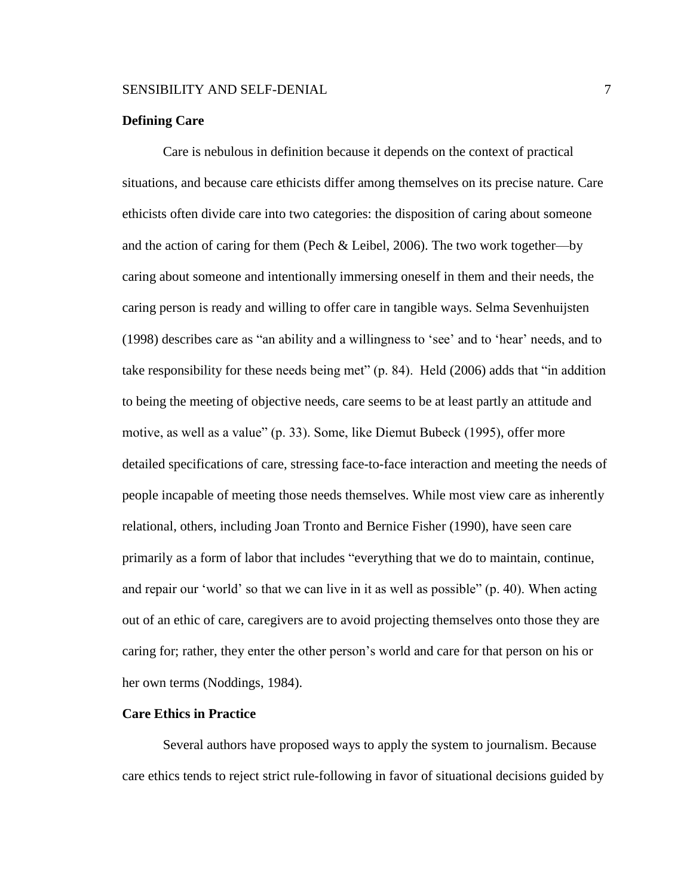# **Defining Care**

 Care is nebulous in definition because it depends on the context of practical situations, and because care ethicists differ among themselves on its precise nature. Care ethicists often divide care into two categories: the disposition of caring about someone and the action of caring for them (Pech & Leibel, 2006). The two work together—by caring about someone and intentionally immersing oneself in them and their needs, the caring person is ready and willing to offer care in tangible ways. Selma Sevenhuijsten (1998) describes care as "an ability and a willingness to 'see' and to 'hear' needs, and to take responsibility for these needs being met" (p. 84). Held (2006) adds that "in addition to being the meeting of objective needs, care seems to be at least partly an attitude and motive, as well as a value" (p. 33). Some, like Diemut Bubeck (1995), offer more detailed specifications of care, stressing face-to-face interaction and meeting the needs of people incapable of meeting those needs themselves. While most view care as inherently relational, others, including Joan Tronto and Bernice Fisher (1990), have seen care primarily as a form of labor that includes "everything that we do to maintain, continue, and repair our 'world' so that we can live in it as well as possible" (p. 40). When acting out of an ethic of care, caregivers are to avoid projecting themselves onto those they are caring for; rather, they enter the other person's world and care for that person on his or her own terms (Noddings, 1984).

# **Care Ethics in Practice**

Several authors have proposed ways to apply the system to journalism. Because care ethics tends to reject strict rule-following in favor of situational decisions guided by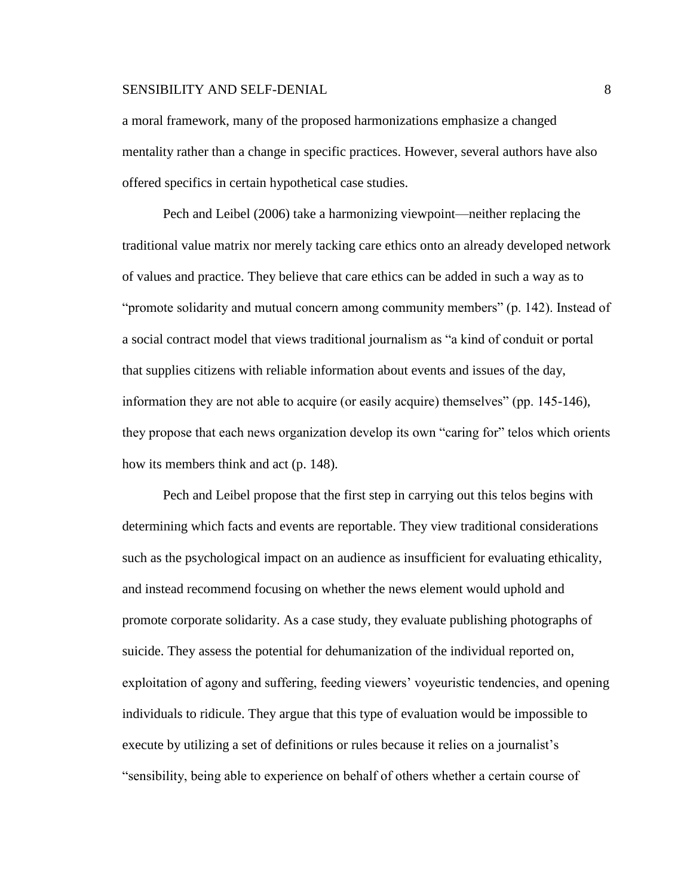a moral framework, many of the proposed harmonizations emphasize a changed mentality rather than a change in specific practices. However, several authors have also offered specifics in certain hypothetical case studies.

Pech and Leibel (2006) take a harmonizing viewpoint—neither replacing the traditional value matrix nor merely tacking care ethics onto an already developed network of values and practice. They believe that care ethics can be added in such a way as to "promote solidarity and mutual concern among community members" (p. 142). Instead of a social contract model that views traditional journalism as "a kind of conduit or portal that supplies citizens with reliable information about events and issues of the day, information they are not able to acquire (or easily acquire) themselves" (pp. 145-146), they propose that each news organization develop its own "caring for" telos which orients how its members think and act (p. 148).

Pech and Leibel propose that the first step in carrying out this telos begins with determining which facts and events are reportable. They view traditional considerations such as the psychological impact on an audience as insufficient for evaluating ethicality, and instead recommend focusing on whether the news element would uphold and promote corporate solidarity. As a case study, they evaluate publishing photographs of suicide. They assess the potential for dehumanization of the individual reported on, exploitation of agony and suffering, feeding viewers' voyeuristic tendencies, and opening individuals to ridicule. They argue that this type of evaluation would be impossible to execute by utilizing a set of definitions or rules because it relies on a journalist's "sensibility, being able to experience on behalf of others whether a certain course of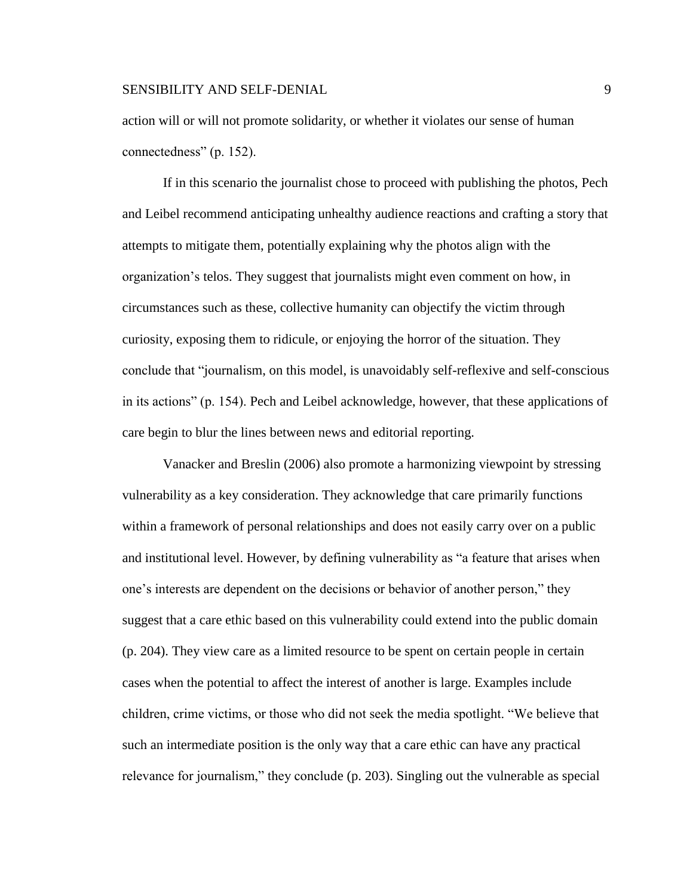action will or will not promote solidarity, or whether it violates our sense of human connectedness" (p. 152).

If in this scenario the journalist chose to proceed with publishing the photos, Pech and Leibel recommend anticipating unhealthy audience reactions and crafting a story that attempts to mitigate them, potentially explaining why the photos align with the organization's telos. They suggest that journalists might even comment on how, in circumstances such as these, collective humanity can objectify the victim through curiosity, exposing them to ridicule, or enjoying the horror of the situation. They conclude that "journalism, on this model, is unavoidably self-reflexive and self-conscious in its actions" (p. 154). Pech and Leibel acknowledge, however, that these applications of care begin to blur the lines between news and editorial reporting.

Vanacker and Breslin (2006) also promote a harmonizing viewpoint by stressing vulnerability as a key consideration. They acknowledge that care primarily functions within a framework of personal relationships and does not easily carry over on a public and institutional level. However, by defining vulnerability as "a feature that arises when one's interests are dependent on the decisions or behavior of another person," they suggest that a care ethic based on this vulnerability could extend into the public domain (p. 204). They view care as a limited resource to be spent on certain people in certain cases when the potential to affect the interest of another is large. Examples include children, crime victims, or those who did not seek the media spotlight. "We believe that such an intermediate position is the only way that a care ethic can have any practical relevance for journalism," they conclude (p. 203). Singling out the vulnerable as special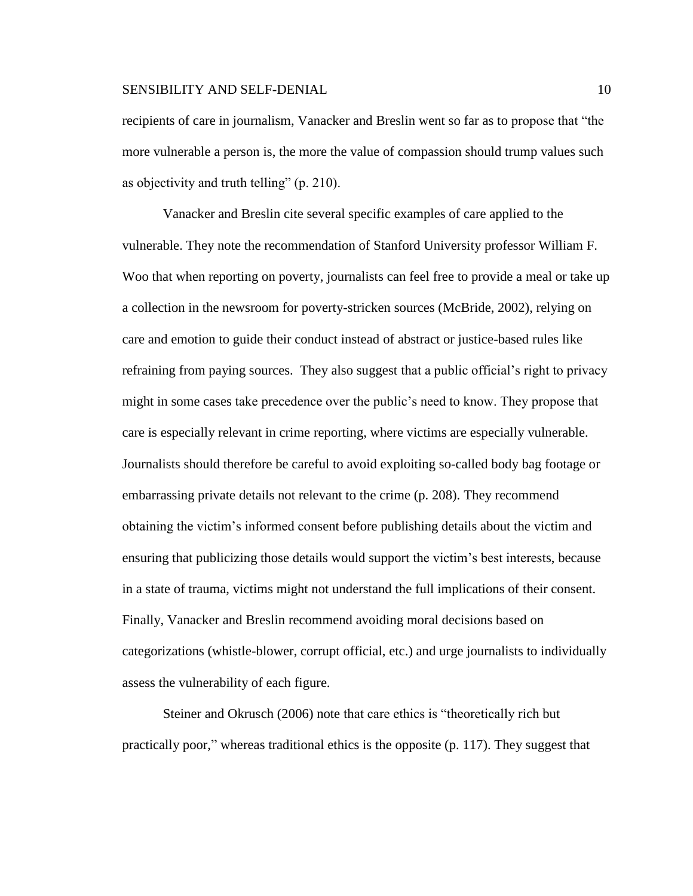recipients of care in journalism, Vanacker and Breslin went so far as to propose that "the more vulnerable a person is, the more the value of compassion should trump values such as objectivity and truth telling" (p. 210).

Vanacker and Breslin cite several specific examples of care applied to the vulnerable. They note the recommendation of Stanford University professor William F. Woo that when reporting on poverty, journalists can feel free to provide a meal or take up a collection in the newsroom for poverty-stricken sources (McBride, 2002), relying on care and emotion to guide their conduct instead of abstract or justice-based rules like refraining from paying sources. They also suggest that a public official's right to privacy might in some cases take precedence over the public's need to know. They propose that care is especially relevant in crime reporting, where victims are especially vulnerable. Journalists should therefore be careful to avoid exploiting so-called body bag footage or embarrassing private details not relevant to the crime (p. 208). They recommend obtaining the victim's informed consent before publishing details about the victim and ensuring that publicizing those details would support the victim's best interests, because in a state of trauma, victims might not understand the full implications of their consent. Finally, Vanacker and Breslin recommend avoiding moral decisions based on categorizations (whistle-blower, corrupt official, etc.) and urge journalists to individually assess the vulnerability of each figure.

Steiner and Okrusch (2006) note that care ethics is "theoretically rich but practically poor," whereas traditional ethics is the opposite (p. 117). They suggest that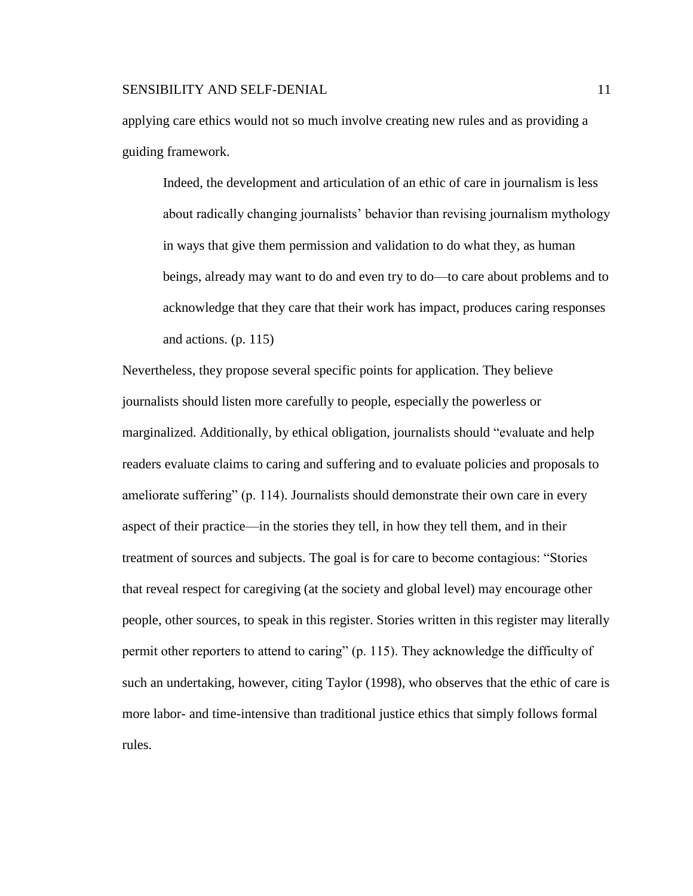applying care ethics would not so much involve creating new rules and as providing a guiding framework.

Indeed, the development and articulation of an ethic of care in journalism is less about radically changing journalists' behavior than revising journalism mythology in ways that give them permission and validation to do what they, as human beings, already may want to do and even try to do—to care about problems and to acknowledge that they care that their work has impact, produces caring responses and actions. (p. 115)

Nevertheless, they propose several specific points for application. They believe journalists should listen more carefully to people, especially the powerless or marginalized. Additionally, by ethical obligation, journalists should "evaluate and help readers evaluate claims to caring and suffering and to evaluate policies and proposals to ameliorate suffering" (p. 114). Journalists should demonstrate their own care in every aspect of their practice—in the stories they tell, in how they tell them, and in their treatment of sources and subjects. The goal is for care to become contagious: "Stories that reveal respect for caregiving (at the society and global level) may encourage other people, other sources, to speak in this register. Stories written in this register may literally permit other reporters to attend to caring" (p. 115). They acknowledge the difficulty of such an undertaking, however, citing Taylor (1998), who observes that the ethic of care is more labor- and time-intensive than traditional justice ethics that simply follows formal rules.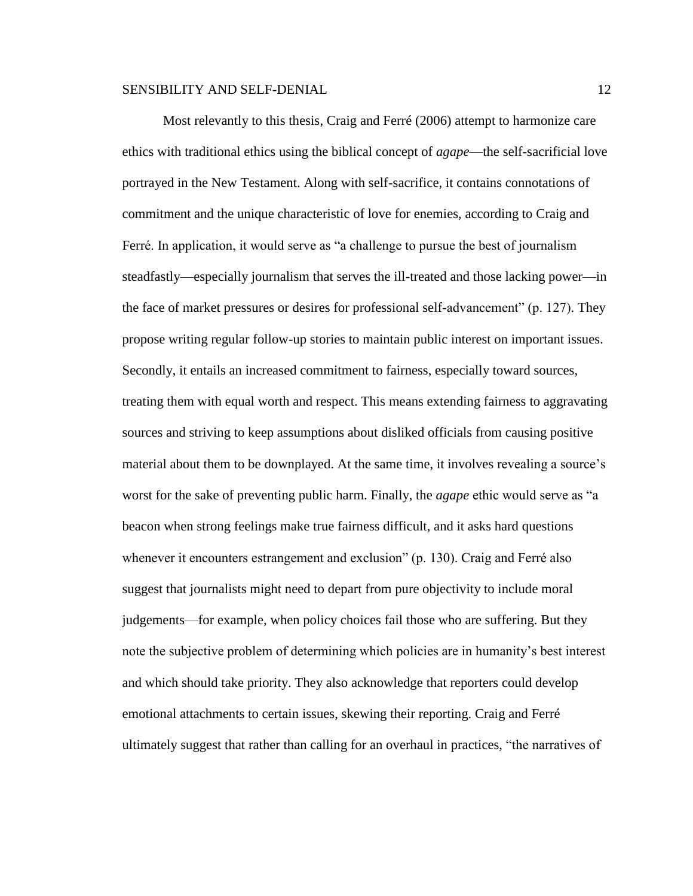Most relevantly to this thesis, Craig and Ferré (2006) attempt to harmonize care ethics with traditional ethics using the biblical concept of *agape*—the self-sacrificial love portrayed in the New Testament. Along with self-sacrifice, it contains connotations of commitment and the unique characteristic of love for enemies, according to Craig and Ferré. In application, it would serve as "a challenge to pursue the best of journalism steadfastly—especially journalism that serves the ill-treated and those lacking power—in the face of market pressures or desires for professional self-advancement" (p. 127). They propose writing regular follow-up stories to maintain public interest on important issues. Secondly, it entails an increased commitment to fairness, especially toward sources, treating them with equal worth and respect. This means extending fairness to aggravating sources and striving to keep assumptions about disliked officials from causing positive material about them to be downplayed. At the same time, it involves revealing a source's worst for the sake of preventing public harm. Finally, the *agape* ethic would serve as "a beacon when strong feelings make true fairness difficult, and it asks hard questions whenever it encounters estrangement and exclusion" (p. 130). Craig and Ferré also suggest that journalists might need to depart from pure objectivity to include moral judgements—for example, when policy choices fail those who are suffering. But they note the subjective problem of determining which policies are in humanity's best interest and which should take priority. They also acknowledge that reporters could develop emotional attachments to certain issues, skewing their reporting. Craig and Ferré ultimately suggest that rather than calling for an overhaul in practices, "the narratives of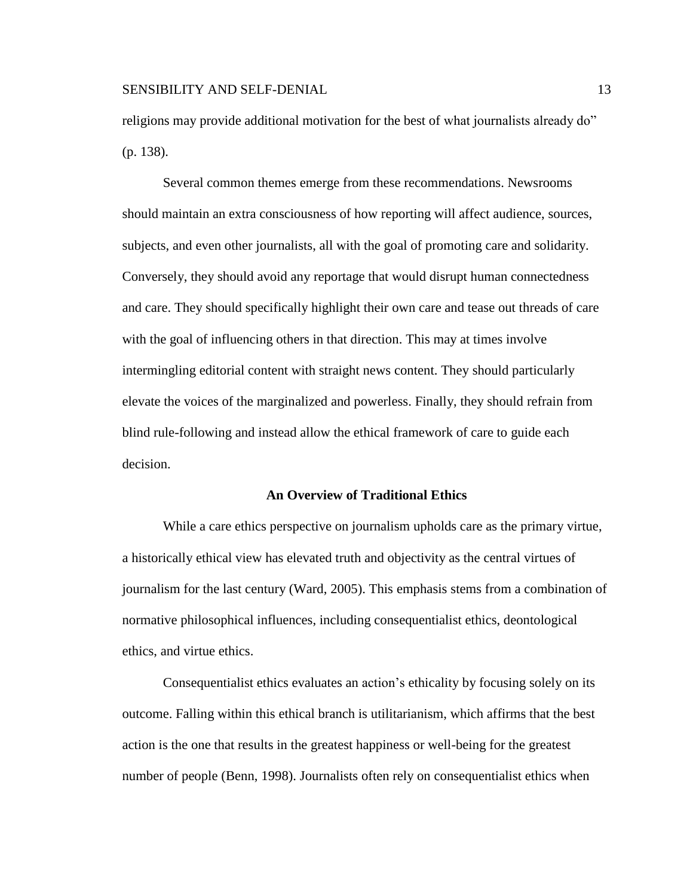religions may provide additional motivation for the best of what journalists already do" (p. 138).

Several common themes emerge from these recommendations. Newsrooms should maintain an extra consciousness of how reporting will affect audience, sources, subjects, and even other journalists, all with the goal of promoting care and solidarity. Conversely, they should avoid any reportage that would disrupt human connectedness and care. They should specifically highlight their own care and tease out threads of care with the goal of influencing others in that direction. This may at times involve intermingling editorial content with straight news content. They should particularly elevate the voices of the marginalized and powerless. Finally, they should refrain from blind rule-following and instead allow the ethical framework of care to guide each decision.

# **An Overview of Traditional Ethics**

While a care ethics perspective on journalism upholds care as the primary virtue, a historically ethical view has elevated truth and objectivity as the central virtues of journalism for the last century (Ward, 2005). This emphasis stems from a combination of normative philosophical influences, including consequentialist ethics, deontological ethics, and virtue ethics.

Consequentialist ethics evaluates an action's ethicality by focusing solely on its outcome. Falling within this ethical branch is utilitarianism, which affirms that the best action is the one that results in the greatest happiness or well-being for the greatest number of people (Benn, 1998). Journalists often rely on consequentialist ethics when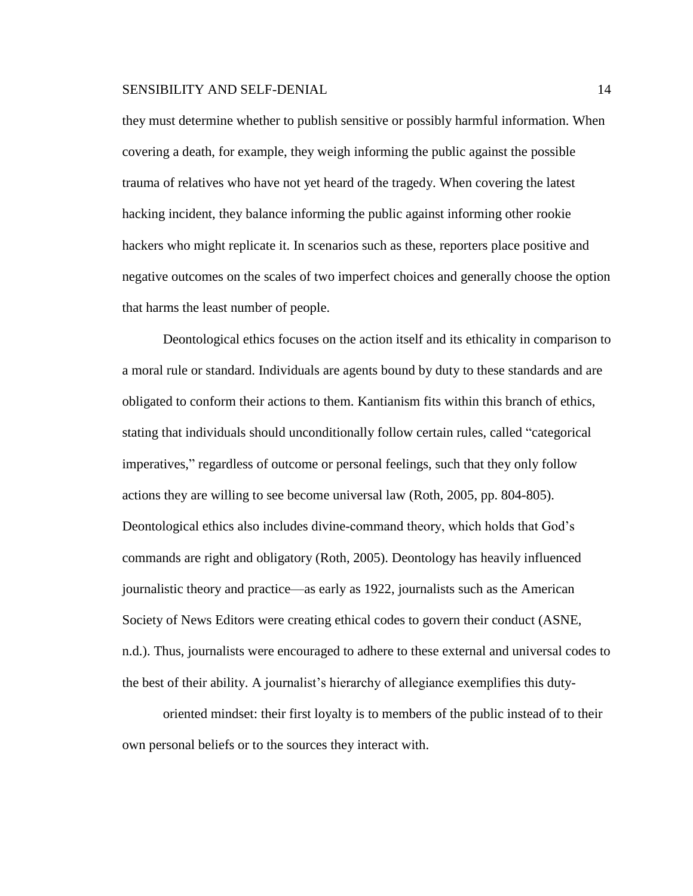they must determine whether to publish sensitive or possibly harmful information. When covering a death, for example, they weigh informing the public against the possible trauma of relatives who have not yet heard of the tragedy. When covering the latest hacking incident, they balance informing the public against informing other rookie hackers who might replicate it. In scenarios such as these, reporters place positive and negative outcomes on the scales of two imperfect choices and generally choose the option that harms the least number of people.

Deontological ethics focuses on the action itself and its ethicality in comparison to a moral rule or standard. Individuals are agents bound by duty to these standards and are obligated to conform their actions to them. Kantianism fits within this branch of ethics, stating that individuals should unconditionally follow certain rules, called "categorical imperatives," regardless of outcome or personal feelings, such that they only follow actions they are willing to see become universal law (Roth, 2005, pp. 804-805). Deontological ethics also includes divine-command theory, which holds that God's commands are right and obligatory (Roth, 2005). Deontology has heavily influenced journalistic theory and practice—as early as 1922, journalists such as the American Society of News Editors were creating ethical codes to govern their conduct (ASNE, n.d.). Thus, journalists were encouraged to adhere to these external and universal codes to the best of their ability. A journalist's hierarchy of allegiance exemplifies this duty-

oriented mindset: their first loyalty is to members of the public instead of to their own personal beliefs or to the sources they interact with.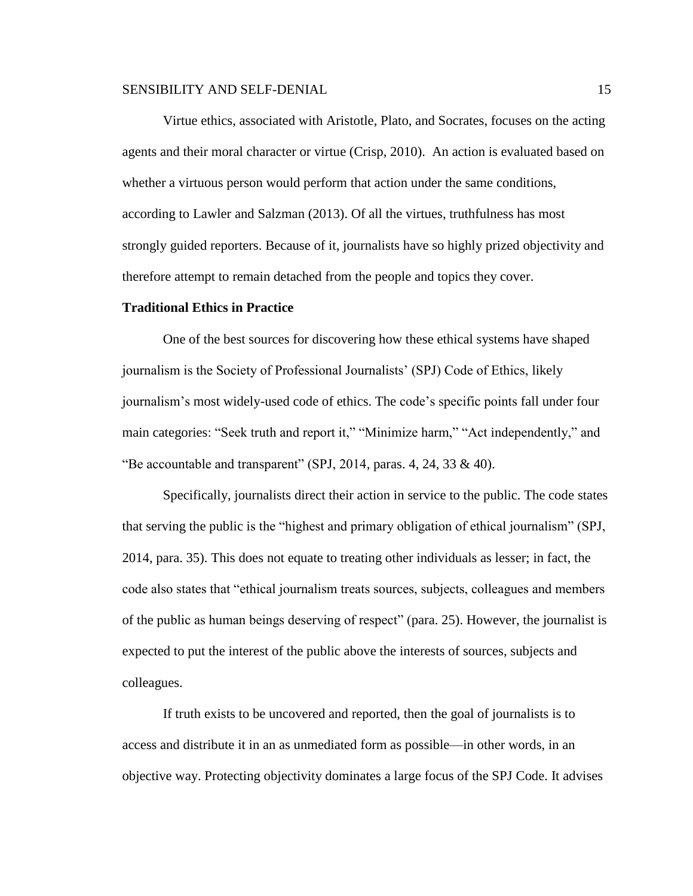Virtue ethics, associated with Aristotle, Plato, and Socrates, focuses on the acting agents and their moral character or virtue (Crisp, 2010). An action is evaluated based on whether a virtuous person would perform that action under the same conditions, according to Lawler and Salzman (2013). Of all the virtues, truthfulness has most strongly guided reporters. Because of it, journalists have so highly prized objectivity and therefore attempt to remain detached from the people and topics they cover.

# **Traditional Ethics in Practice**

One of the best sources for discovering how these ethical systems have shaped journalism is the Society of Professional Journalists' (SPJ) Code of Ethics, likely journalism's most widely-used code of ethics. The code's specific points fall under four main categories: "Seek truth and report it," "Minimize harm," "Act independently," and "Be accountable and transparent" (SPJ, 2014, paras. 4, 24, 33  $\&$  40).

Specifically, journalists direct their action in service to the public. The code states that serving the public is the "highest and primary obligation of ethical journalism" (SPJ, 2014, para. 35). This does not equate to treating other individuals as lesser; in fact, the code also states that "ethical journalism treats sources, subjects, colleagues and members of the public as human beings deserving of respect" (para. 25). However, the journalist is expected to put the interest of the public above the interests of sources, subjects and colleagues.

If truth exists to be uncovered and reported, then the goal of journalists is to access and distribute it in an as unmediated form as possible—in other words, in an objective way. Protecting objectivity dominates a large focus of the SPJ Code. It advises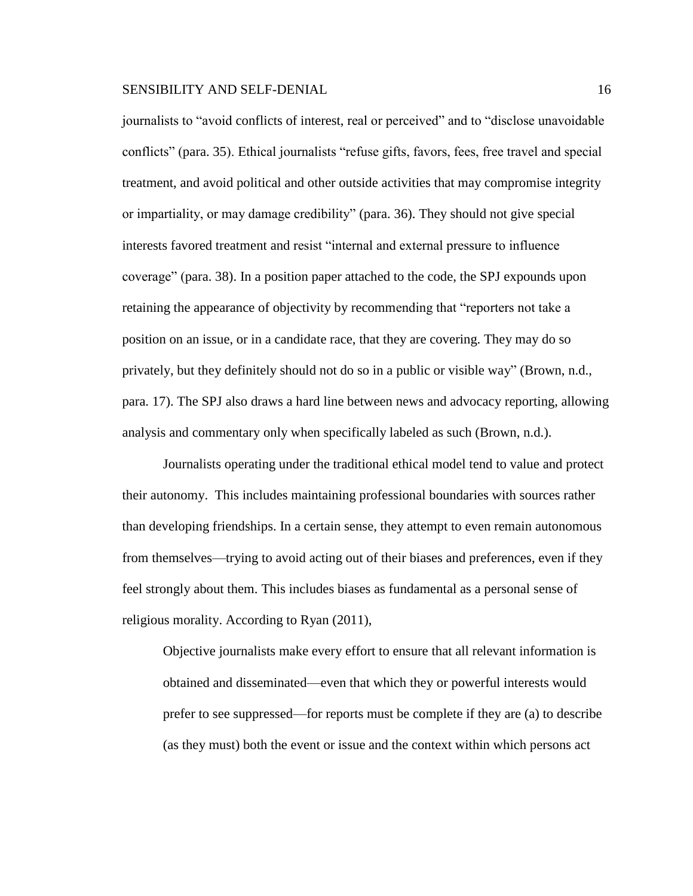journalists to "avoid conflicts of interest, real or perceived" and to "disclose unavoidable conflicts" (para. 35). Ethical journalists "refuse gifts, favors, fees, free travel and special treatment, and avoid political and other outside activities that may compromise integrity or impartiality, or may damage credibility" (para. 36). They should not give special interests favored treatment and resist "internal and external pressure to influence coverage" (para. 38). In a position paper attached to the code, the SPJ expounds upon retaining the appearance of objectivity by recommending that "reporters not take a position on an issue, or in a candidate race, that they are covering. They may do so privately, but they definitely should not do so in a public or visible way" (Brown, n.d., para. 17). The SPJ also draws a hard line between news and advocacy reporting, allowing analysis and commentary only when specifically labeled as such (Brown, n.d.).

Journalists operating under the traditional ethical model tend to value and protect their autonomy. This includes maintaining professional boundaries with sources rather than developing friendships. In a certain sense, they attempt to even remain autonomous from themselves—trying to avoid acting out of their biases and preferences, even if they feel strongly about them. This includes biases as fundamental as a personal sense of religious morality. According to Ryan (2011),

Objective journalists make every effort to ensure that all relevant information is obtained and disseminated—even that which they or powerful interests would prefer to see suppressed—for reports must be complete if they are (a) to describe (as they must) both the event or issue and the context within which persons act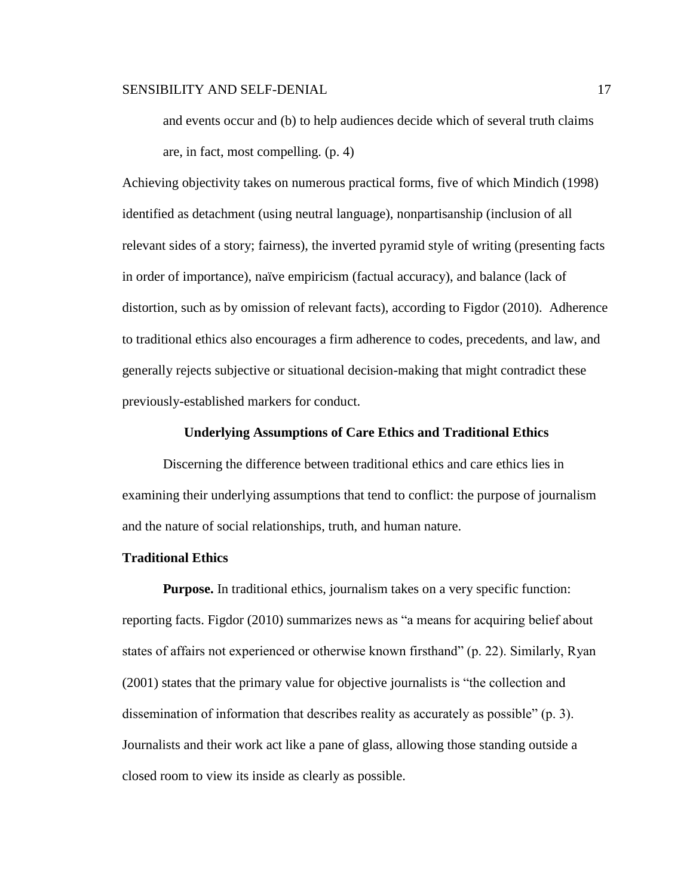and events occur and (b) to help audiences decide which of several truth claims are, in fact, most compelling. (p. 4)

Achieving objectivity takes on numerous practical forms, five of which Mindich (1998) identified as detachment (using neutral language), nonpartisanship (inclusion of all relevant sides of a story; fairness), the inverted pyramid style of writing (presenting facts in order of importance), naïve empiricism (factual accuracy), and balance (lack of distortion, such as by omission of relevant facts), according to Figdor (2010). Adherence to traditional ethics also encourages a firm adherence to codes, precedents, and law, and generally rejects subjective or situational decision-making that might contradict these previously-established markers for conduct.

#### **Underlying Assumptions of Care Ethics and Traditional Ethics**

Discerning the difference between traditional ethics and care ethics lies in examining their underlying assumptions that tend to conflict: the purpose of journalism and the nature of social relationships, truth, and human nature.

# **Traditional Ethics**

**Purpose.** In traditional ethics, journalism takes on a very specific function: reporting facts. Figdor (2010) summarizes news as "a means for acquiring belief about states of affairs not experienced or otherwise known firsthand" (p. 22). Similarly, Ryan (2001) states that the primary value for objective journalists is "the collection and dissemination of information that describes reality as accurately as possible" (p. 3). Journalists and their work act like a pane of glass, allowing those standing outside a closed room to view its inside as clearly as possible.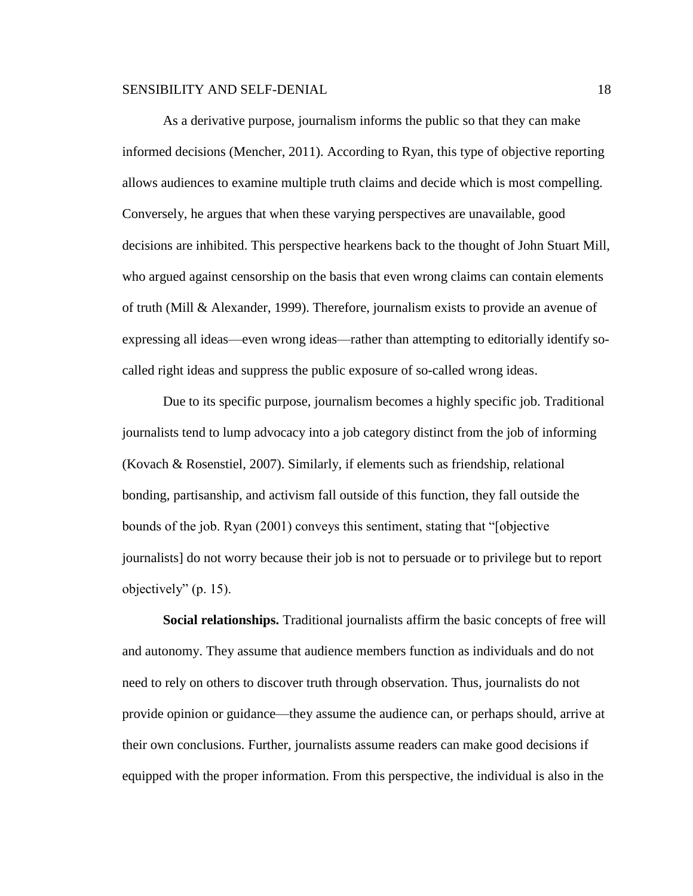As a derivative purpose, journalism informs the public so that they can make informed decisions (Mencher, 2011). According to Ryan, this type of objective reporting allows audiences to examine multiple truth claims and decide which is most compelling. Conversely, he argues that when these varying perspectives are unavailable, good decisions are inhibited. This perspective hearkens back to the thought of John Stuart Mill, who argued against censorship on the basis that even wrong claims can contain elements of truth (Mill & Alexander, 1999). Therefore, journalism exists to provide an avenue of expressing all ideas—even wrong ideas—rather than attempting to editorially identify socalled right ideas and suppress the public exposure of so-called wrong ideas.

Due to its specific purpose, journalism becomes a highly specific job. Traditional journalists tend to lump advocacy into a job category distinct from the job of informing (Kovach & Rosenstiel, 2007). Similarly, if elements such as friendship, relational bonding, partisanship, and activism fall outside of this function, they fall outside the bounds of the job. Ryan (2001) conveys this sentiment, stating that "[objective journalists] do not worry because their job is not to persuade or to privilege but to report objectively" (p. 15).

**Social relationships.** Traditional journalists affirm the basic concepts of free will and autonomy. They assume that audience members function as individuals and do not need to rely on others to discover truth through observation. Thus, journalists do not provide opinion or guidance—they assume the audience can, or perhaps should, arrive at their own conclusions. Further, journalists assume readers can make good decisions if equipped with the proper information. From this perspective, the individual is also in the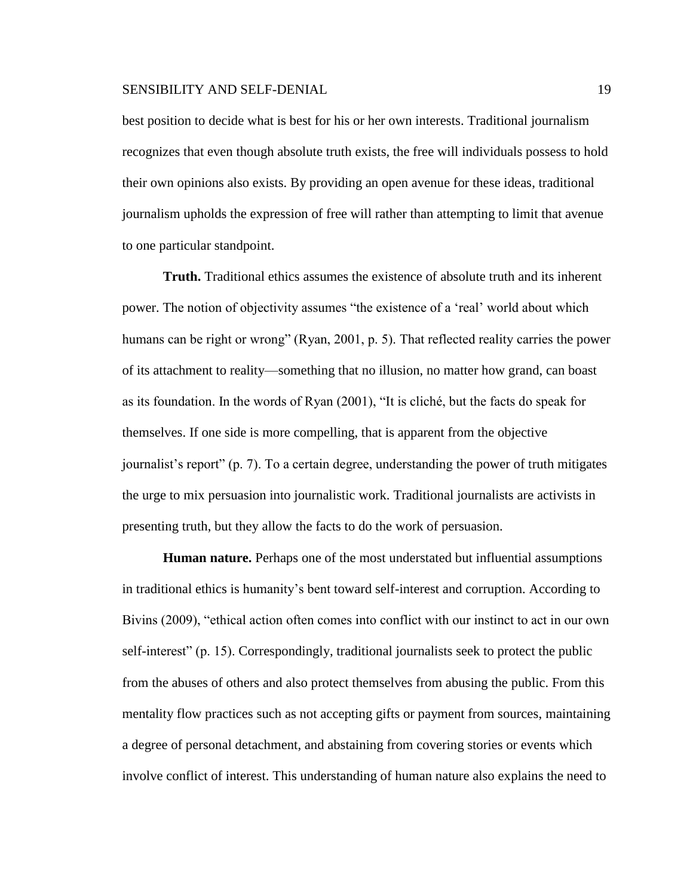best position to decide what is best for his or her own interests. Traditional journalism recognizes that even though absolute truth exists, the free will individuals possess to hold their own opinions also exists. By providing an open avenue for these ideas, traditional journalism upholds the expression of free will rather than attempting to limit that avenue to one particular standpoint.

**Truth.** Traditional ethics assumes the existence of absolute truth and its inherent power. The notion of objectivity assumes "the existence of a 'real' world about which humans can be right or wrong" (Ryan, 2001, p. 5). That reflected reality carries the power of its attachment to reality—something that no illusion, no matter how grand, can boast as its foundation. In the words of Ryan (2001), "It is cliché, but the facts do speak for themselves. If one side is more compelling, that is apparent from the objective journalist's report" (p. 7). To a certain degree, understanding the power of truth mitigates the urge to mix persuasion into journalistic work. Traditional journalists are activists in presenting truth, but they allow the facts to do the work of persuasion.

**Human nature.** Perhaps one of the most understated but influential assumptions in traditional ethics is humanity's bent toward self-interest and corruption. According to Bivins (2009), "ethical action often comes into conflict with our instinct to act in our own self-interest" (p. 15). Correspondingly, traditional journalists seek to protect the public from the abuses of others and also protect themselves from abusing the public. From this mentality flow practices such as not accepting gifts or payment from sources, maintaining a degree of personal detachment, and abstaining from covering stories or events which involve conflict of interest. This understanding of human nature also explains the need to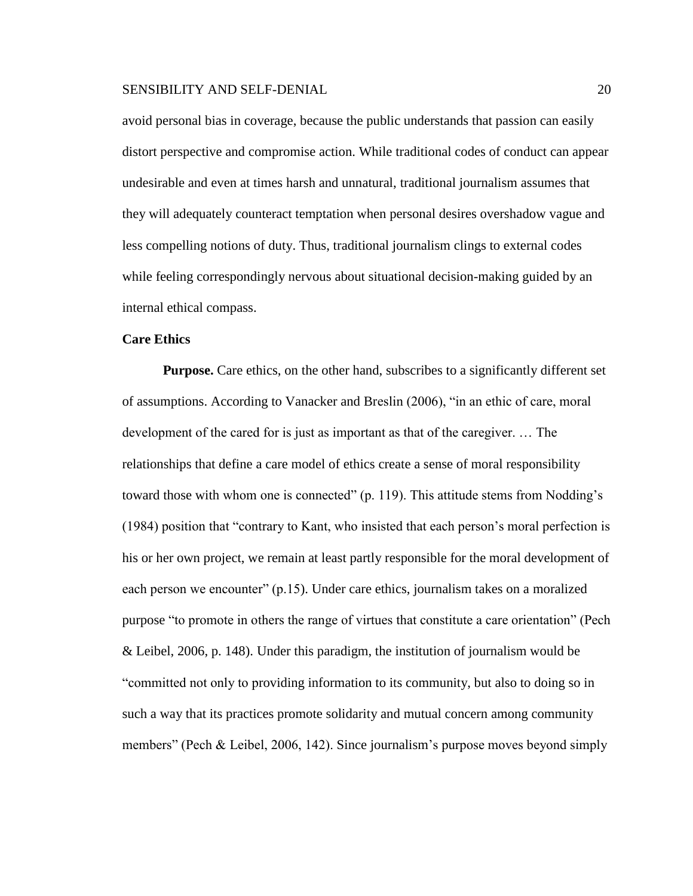avoid personal bias in coverage, because the public understands that passion can easily distort perspective and compromise action. While traditional codes of conduct can appear undesirable and even at times harsh and unnatural, traditional journalism assumes that they will adequately counteract temptation when personal desires overshadow vague and less compelling notions of duty. Thus, traditional journalism clings to external codes while feeling correspondingly nervous about situational decision-making guided by an internal ethical compass.

# **Care Ethics**

**Purpose.** Care ethics, on the other hand, subscribes to a significantly different set of assumptions. According to Vanacker and Breslin (2006), "in an ethic of care, moral development of the cared for is just as important as that of the caregiver. … The relationships that define a care model of ethics create a sense of moral responsibility toward those with whom one is connected" (p. 119). This attitude stems from Nodding's (1984) position that "contrary to Kant, who insisted that each person's moral perfection is his or her own project, we remain at least partly responsible for the moral development of each person we encounter" (p.15). Under care ethics, journalism takes on a moralized purpose "to promote in others the range of virtues that constitute a care orientation" (Pech & Leibel, 2006, p. 148). Under this paradigm, the institution of journalism would be "committed not only to providing information to its community, but also to doing so in such a way that its practices promote solidarity and mutual concern among community members" (Pech & Leibel, 2006, 142). Since journalism's purpose moves beyond simply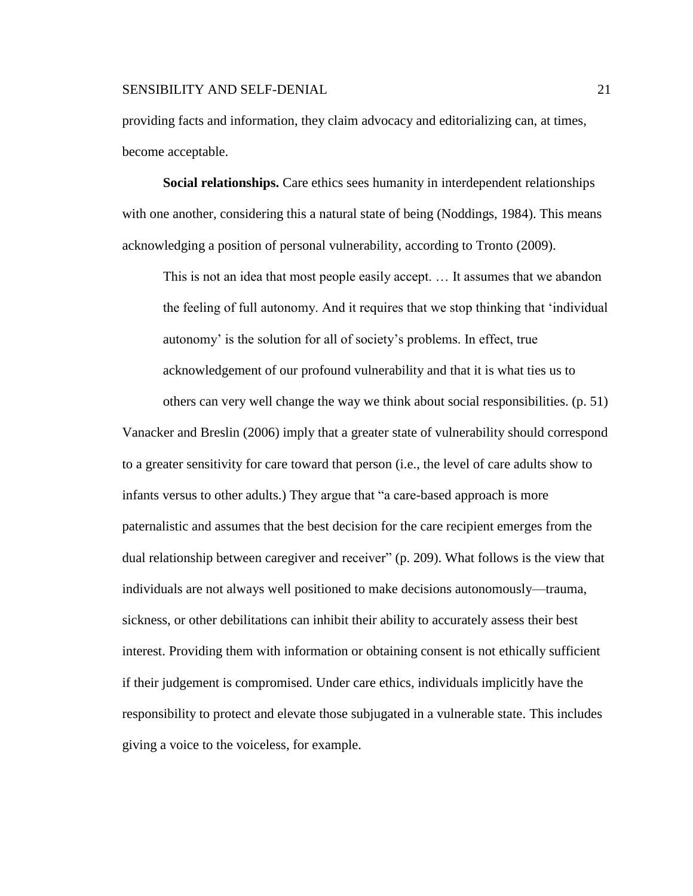# SENSIBILITY AND SELF-DENIAL 21 and 22 and 22 and 22 and 22 and 22 and 22 and 22 and 22 and 22 and 22 and 22 and 22 and 22 and 22 and 22 and 22 and 22 and 22 and 22 and 22 and 22 and 22 and 22 and 22 and 22 and 22 and 22 an

providing facts and information, they claim advocacy and editorializing can, at times, become acceptable.

**Social relationships.** Care ethics sees humanity in interdependent relationships with one another, considering this a natural state of being (Noddings, 1984). This means acknowledging a position of personal vulnerability, according to Tronto (2009).

This is not an idea that most people easily accept. … It assumes that we abandon the feeling of full autonomy. And it requires that we stop thinking that 'individual autonomy' is the solution for all of society's problems. In effect, true acknowledgement of our profound vulnerability and that it is what ties us to

others can very well change the way we think about social responsibilities. (p. 51) Vanacker and Breslin (2006) imply that a greater state of vulnerability should correspond to a greater sensitivity for care toward that person (i.e., the level of care adults show to infants versus to other adults.) They argue that "a care-based approach is more paternalistic and assumes that the best decision for the care recipient emerges from the dual relationship between caregiver and receiver" (p. 209). What follows is the view that individuals are not always well positioned to make decisions autonomously—trauma, sickness, or other debilitations can inhibit their ability to accurately assess their best interest. Providing them with information or obtaining consent is not ethically sufficient if their judgement is compromised. Under care ethics, individuals implicitly have the responsibility to protect and elevate those subjugated in a vulnerable state. This includes giving a voice to the voiceless, for example.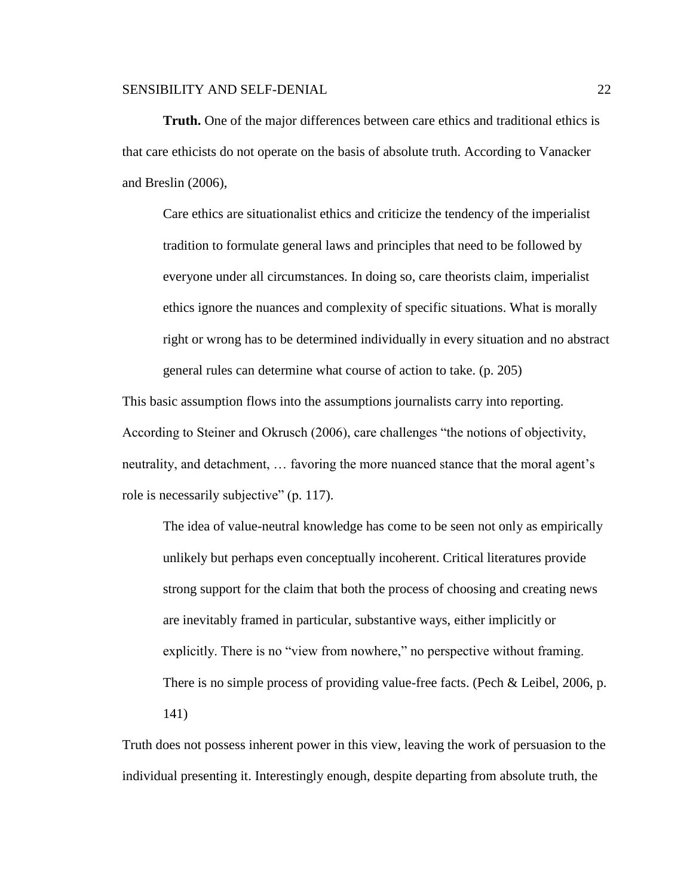**Truth.** One of the major differences between care ethics and traditional ethics is that care ethicists do not operate on the basis of absolute truth. According to Vanacker and Breslin (2006),

Care ethics are situationalist ethics and criticize the tendency of the imperialist tradition to formulate general laws and principles that need to be followed by everyone under all circumstances. In doing so, care theorists claim, imperialist ethics ignore the nuances and complexity of specific situations. What is morally right or wrong has to be determined individually in every situation and no abstract general rules can determine what course of action to take. (p. 205)

This basic assumption flows into the assumptions journalists carry into reporting. According to Steiner and Okrusch (2006), care challenges "the notions of objectivity, neutrality, and detachment, … favoring the more nuanced stance that the moral agent's role is necessarily subjective" (p. 117).

The idea of value-neutral knowledge has come to be seen not only as empirically unlikely but perhaps even conceptually incoherent. Critical literatures provide strong support for the claim that both the process of choosing and creating news are inevitably framed in particular, substantive ways, either implicitly or explicitly. There is no "view from nowhere," no perspective without framing. There is no simple process of providing value-free facts. (Pech & Leibel, 2006, p. 141)

Truth does not possess inherent power in this view, leaving the work of persuasion to the individual presenting it. Interestingly enough, despite departing from absolute truth, the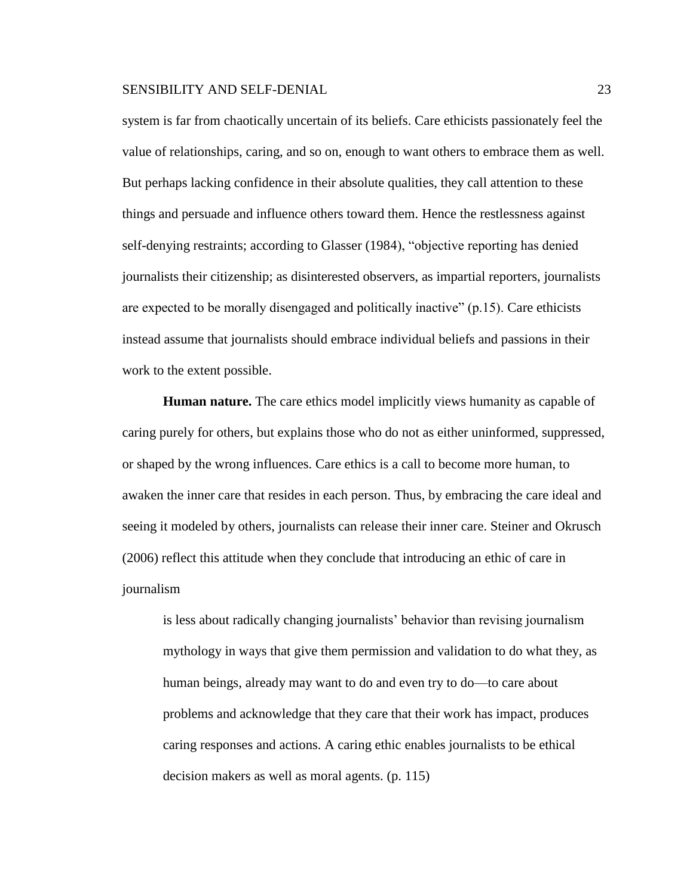system is far from chaotically uncertain of its beliefs. Care ethicists passionately feel the value of relationships, caring, and so on, enough to want others to embrace them as well. But perhaps lacking confidence in their absolute qualities, they call attention to these things and persuade and influence others toward them. Hence the restlessness against self-denying restraints; according to Glasser (1984), "objective reporting has denied journalists their citizenship; as disinterested observers, as impartial reporters, journalists are expected to be morally disengaged and politically inactive" (p.15). Care ethicists instead assume that journalists should embrace individual beliefs and passions in their work to the extent possible.

**Human nature.** The care ethics model implicitly views humanity as capable of caring purely for others, but explains those who do not as either uninformed, suppressed, or shaped by the wrong influences. Care ethics is a call to become more human, to awaken the inner care that resides in each person. Thus, by embracing the care ideal and seeing it modeled by others, journalists can release their inner care. Steiner and Okrusch (2006) reflect this attitude when they conclude that introducing an ethic of care in journalism

is less about radically changing journalists' behavior than revising journalism mythology in ways that give them permission and validation to do what they, as human beings, already may want to do and even try to do—to care about problems and acknowledge that they care that their work has impact, produces caring responses and actions. A caring ethic enables journalists to be ethical decision makers as well as moral agents. (p. 115)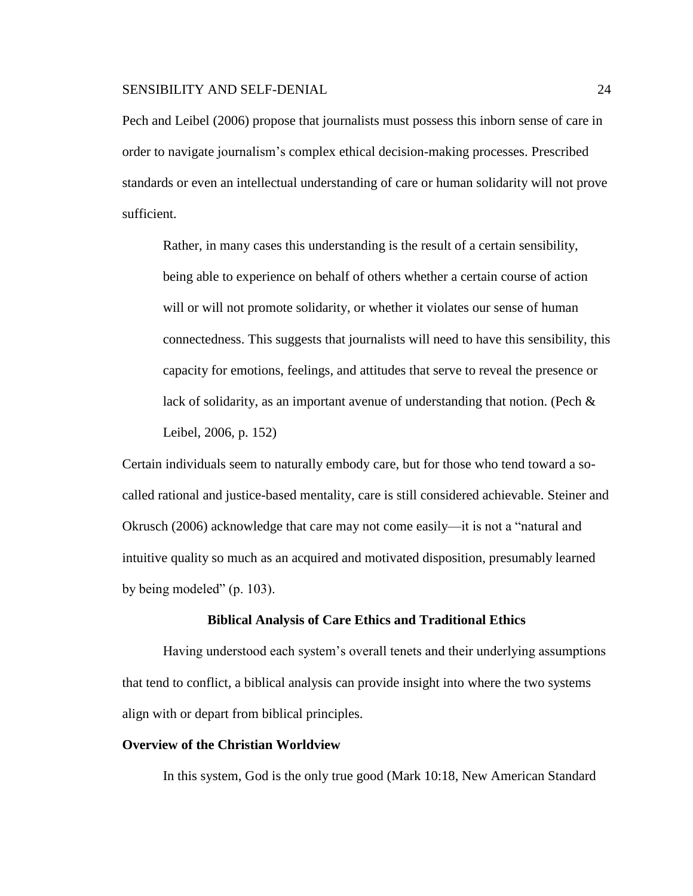Pech and Leibel (2006) propose that journalists must possess this inborn sense of care in order to navigate journalism's complex ethical decision-making processes. Prescribed standards or even an intellectual understanding of care or human solidarity will not prove sufficient.

Rather, in many cases this understanding is the result of a certain sensibility, being able to experience on behalf of others whether a certain course of action will or will not promote solidarity, or whether it violates our sense of human connectedness. This suggests that journalists will need to have this sensibility, this capacity for emotions, feelings, and attitudes that serve to reveal the presence or lack of solidarity, as an important avenue of understanding that notion. (Pech & Leibel, 2006, p. 152)

Certain individuals seem to naturally embody care, but for those who tend toward a socalled rational and justice-based mentality, care is still considered achievable. Steiner and Okrusch (2006) acknowledge that care may not come easily—it is not a "natural and intuitive quality so much as an acquired and motivated disposition, presumably learned by being modeled" (p. 103).

#### **Biblical Analysis of Care Ethics and Traditional Ethics**

Having understood each system's overall tenets and their underlying assumptions that tend to conflict, a biblical analysis can provide insight into where the two systems align with or depart from biblical principles.

# **Overview of the Christian Worldview**

In this system, God is the only true good (Mark 10:18, New American Standard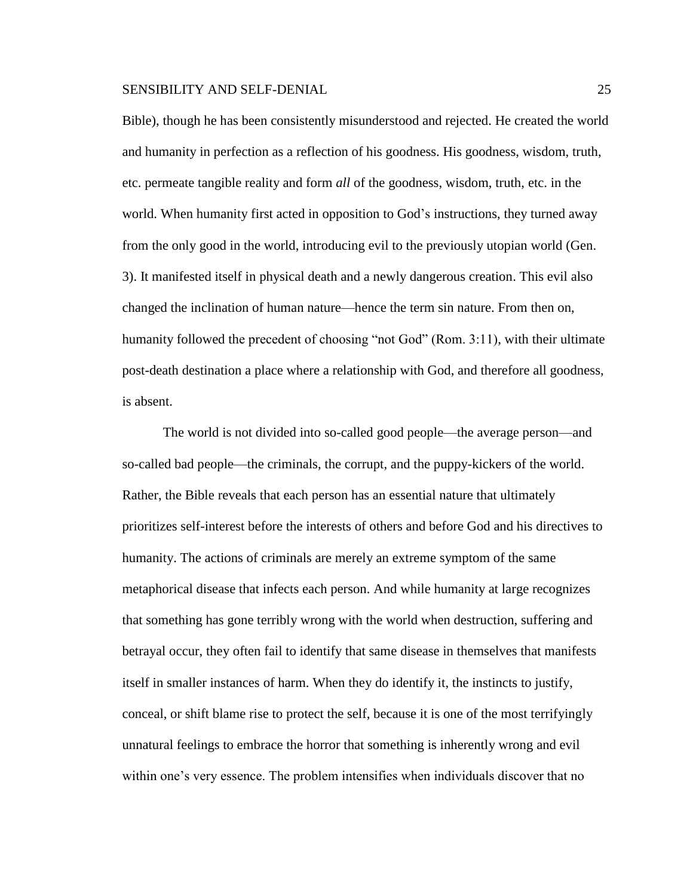Bible), though he has been consistently misunderstood and rejected. He created the world and humanity in perfection as a reflection of his goodness. His goodness, wisdom, truth, etc. permeate tangible reality and form *all* of the goodness, wisdom, truth, etc. in the world. When humanity first acted in opposition to God's instructions, they turned away from the only good in the world, introducing evil to the previously utopian world (Gen. 3). It manifested itself in physical death and a newly dangerous creation. This evil also changed the inclination of human nature—hence the term sin nature. From then on, humanity followed the precedent of choosing "not God" (Rom. 3:11), with their ultimate post-death destination a place where a relationship with God, and therefore all goodness, is absent.

The world is not divided into so-called good people—the average person—and so-called bad people—the criminals, the corrupt, and the puppy-kickers of the world. Rather, the Bible reveals that each person has an essential nature that ultimately prioritizes self-interest before the interests of others and before God and his directives to humanity. The actions of criminals are merely an extreme symptom of the same metaphorical disease that infects each person. And while humanity at large recognizes that something has gone terribly wrong with the world when destruction, suffering and betrayal occur, they often fail to identify that same disease in themselves that manifests itself in smaller instances of harm. When they do identify it, the instincts to justify, conceal, or shift blame rise to protect the self, because it is one of the most terrifyingly unnatural feelings to embrace the horror that something is inherently wrong and evil within one's very essence. The problem intensifies when individuals discover that no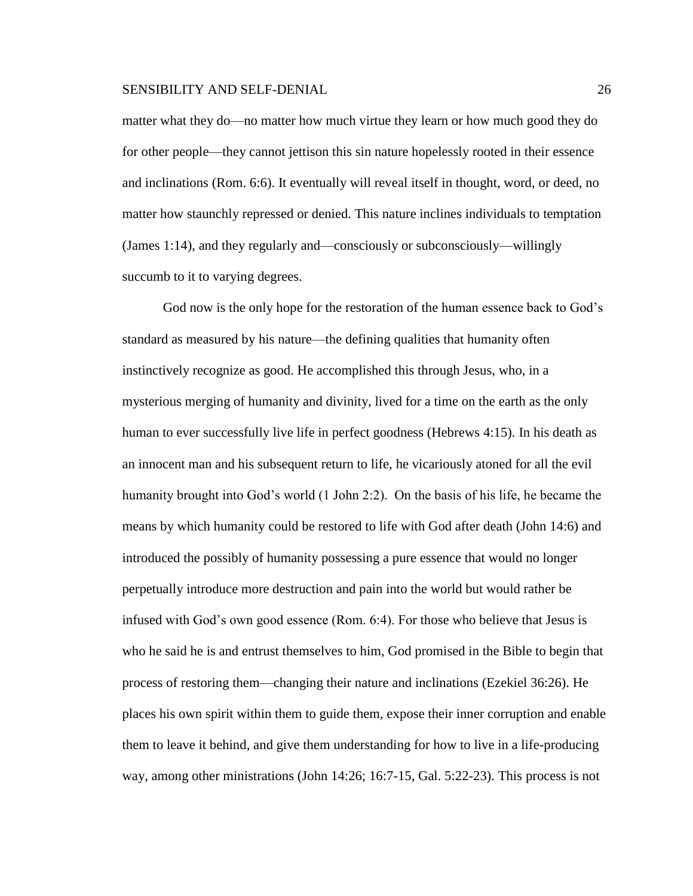matter what they do—no matter how much virtue they learn or how much good they do for other people—they cannot jettison this sin nature hopelessly rooted in their essence and inclinations (Rom. 6:6). It eventually will reveal itself in thought, word, or deed, no matter how staunchly repressed or denied. This nature inclines individuals to temptation (James 1:14), and they regularly and—consciously or subconsciously—willingly succumb to it to varying degrees.

God now is the only hope for the restoration of the human essence back to God's standard as measured by his nature—the defining qualities that humanity often instinctively recognize as good. He accomplished this through Jesus, who, in a mysterious merging of humanity and divinity, lived for a time on the earth as the only human to ever successfully live life in perfect goodness (Hebrews 4:15). In his death as an innocent man and his subsequent return to life, he vicariously atoned for all the evil humanity brought into God's world (1 John 2:2). On the basis of his life, he became the means by which humanity could be restored to life with God after death (John 14:6) and introduced the possibly of humanity possessing a pure essence that would no longer perpetually introduce more destruction and pain into the world but would rather be infused with God's own good essence (Rom. 6:4). For those who believe that Jesus is who he said he is and entrust themselves to him, God promised in the Bible to begin that process of restoring them—changing their nature and inclinations (Ezekiel 36:26). He places his own spirit within them to guide them, expose their inner corruption and enable them to leave it behind, and give them understanding for how to live in a life-producing way, among other ministrations (John 14:26; 16:7-15, Gal. 5:22-23). This process is not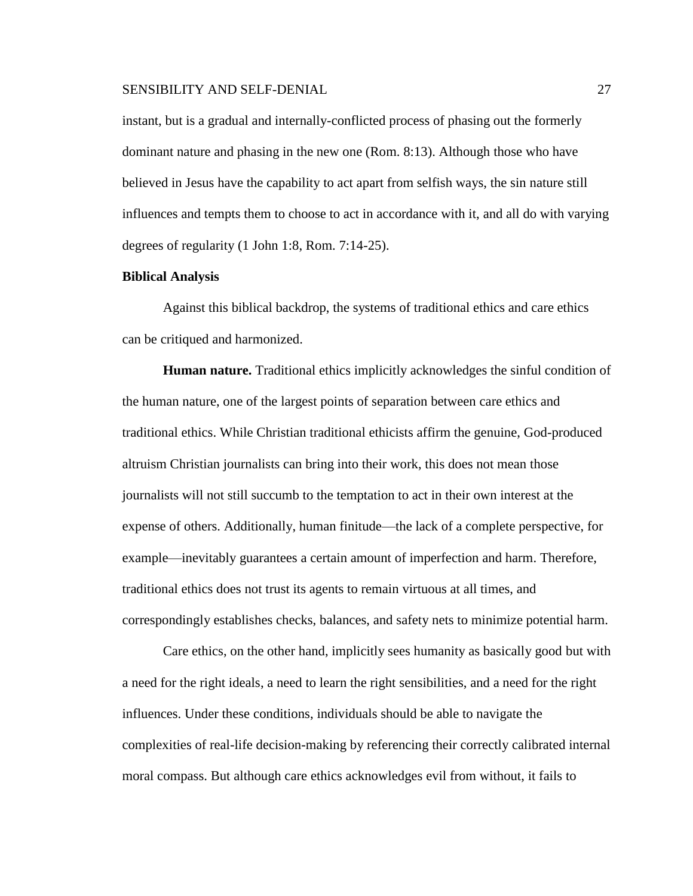instant, but is a gradual and internally-conflicted process of phasing out the formerly dominant nature and phasing in the new one (Rom. 8:13). Although those who have believed in Jesus have the capability to act apart from selfish ways, the sin nature still influences and tempts them to choose to act in accordance with it, and all do with varying degrees of regularity (1 John 1:8, Rom. 7:14-25).

# **Biblical Analysis**

Against this biblical backdrop, the systems of traditional ethics and care ethics can be critiqued and harmonized.

**Human nature.** Traditional ethics implicitly acknowledges the sinful condition of the human nature, one of the largest points of separation between care ethics and traditional ethics. While Christian traditional ethicists affirm the genuine, God-produced altruism Christian journalists can bring into their work, this does not mean those journalists will not still succumb to the temptation to act in their own interest at the expense of others. Additionally, human finitude—the lack of a complete perspective, for example—inevitably guarantees a certain amount of imperfection and harm. Therefore, traditional ethics does not trust its agents to remain virtuous at all times, and correspondingly establishes checks, balances, and safety nets to minimize potential harm.

Care ethics, on the other hand, implicitly sees humanity as basically good but with a need for the right ideals, a need to learn the right sensibilities, and a need for the right influences. Under these conditions, individuals should be able to navigate the complexities of real-life decision-making by referencing their correctly calibrated internal moral compass. But although care ethics acknowledges evil from without, it fails to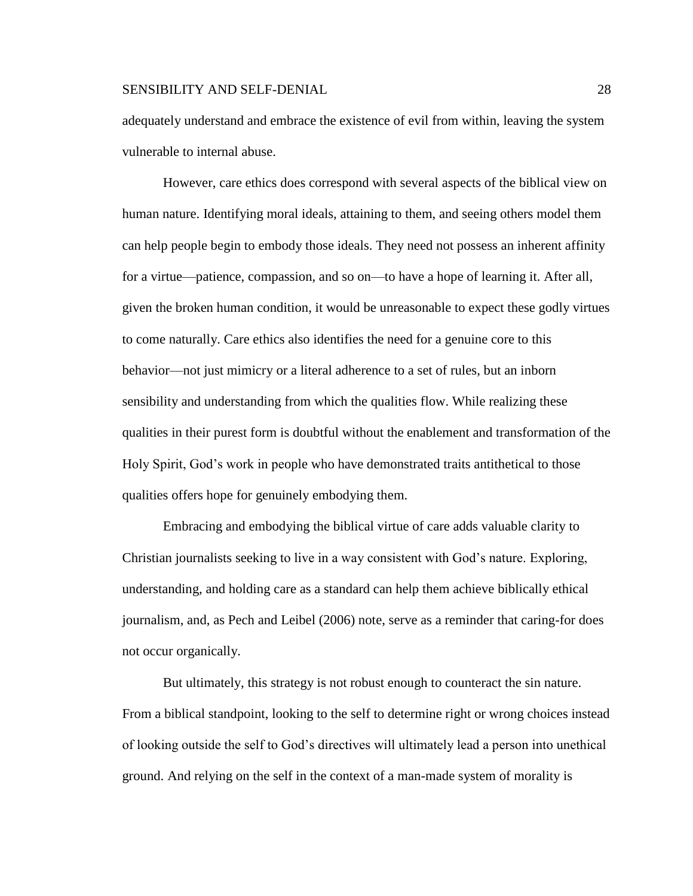adequately understand and embrace the existence of evil from within, leaving the system vulnerable to internal abuse.

However, care ethics does correspond with several aspects of the biblical view on human nature. Identifying moral ideals, attaining to them, and seeing others model them can help people begin to embody those ideals. They need not possess an inherent affinity for a virtue—patience, compassion, and so on—to have a hope of learning it. After all, given the broken human condition, it would be unreasonable to expect these godly virtues to come naturally. Care ethics also identifies the need for a genuine core to this behavior—not just mimicry or a literal adherence to a set of rules, but an inborn sensibility and understanding from which the qualities flow. While realizing these qualities in their purest form is doubtful without the enablement and transformation of the Holy Spirit, God's work in people who have demonstrated traits antithetical to those qualities offers hope for genuinely embodying them.

Embracing and embodying the biblical virtue of care adds valuable clarity to Christian journalists seeking to live in a way consistent with God's nature. Exploring, understanding, and holding care as a standard can help them achieve biblically ethical journalism, and, as Pech and Leibel (2006) note, serve as a reminder that caring-for does not occur organically.

But ultimately, this strategy is not robust enough to counteract the sin nature. From a biblical standpoint, looking to the self to determine right or wrong choices instead of looking outside the self to God's directives will ultimately lead a person into unethical ground. And relying on the self in the context of a man-made system of morality is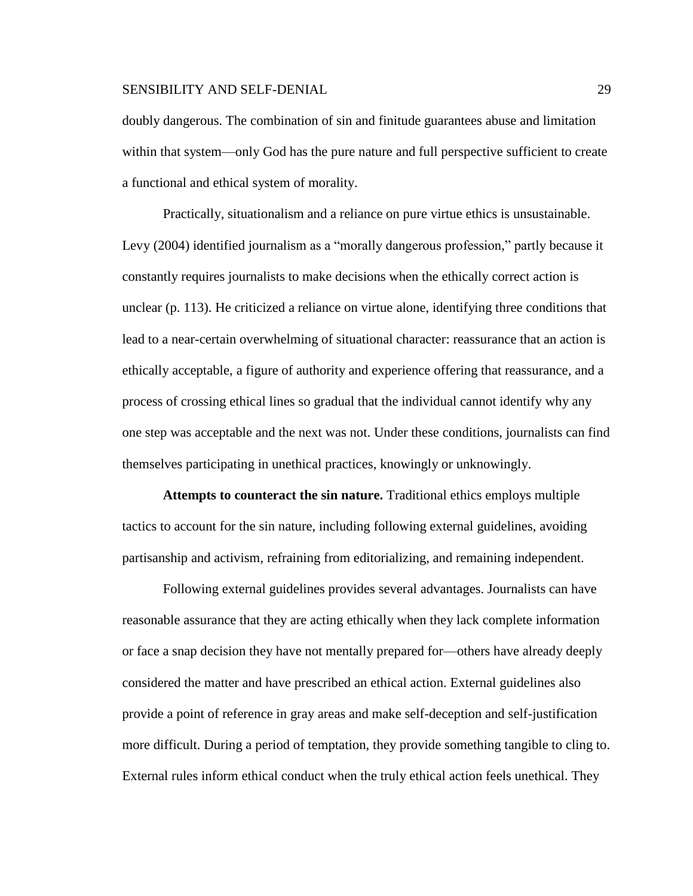doubly dangerous. The combination of sin and finitude guarantees abuse and limitation within that system—only God has the pure nature and full perspective sufficient to create a functional and ethical system of morality.

Practically, situationalism and a reliance on pure virtue ethics is unsustainable. Levy (2004) identified journalism as a "morally dangerous profession," partly because it constantly requires journalists to make decisions when the ethically correct action is unclear (p. 113). He criticized a reliance on virtue alone, identifying three conditions that lead to a near-certain overwhelming of situational character: reassurance that an action is ethically acceptable, a figure of authority and experience offering that reassurance, and a process of crossing ethical lines so gradual that the individual cannot identify why any one step was acceptable and the next was not. Under these conditions, journalists can find themselves participating in unethical practices, knowingly or unknowingly.

**Attempts to counteract the sin nature.** Traditional ethics employs multiple tactics to account for the sin nature, including following external guidelines, avoiding partisanship and activism, refraining from editorializing, and remaining independent.

Following external guidelines provides several advantages. Journalists can have reasonable assurance that they are acting ethically when they lack complete information or face a snap decision they have not mentally prepared for—others have already deeply considered the matter and have prescribed an ethical action. External guidelines also provide a point of reference in gray areas and make self-deception and self-justification more difficult. During a period of temptation, they provide something tangible to cling to. External rules inform ethical conduct when the truly ethical action feels unethical. They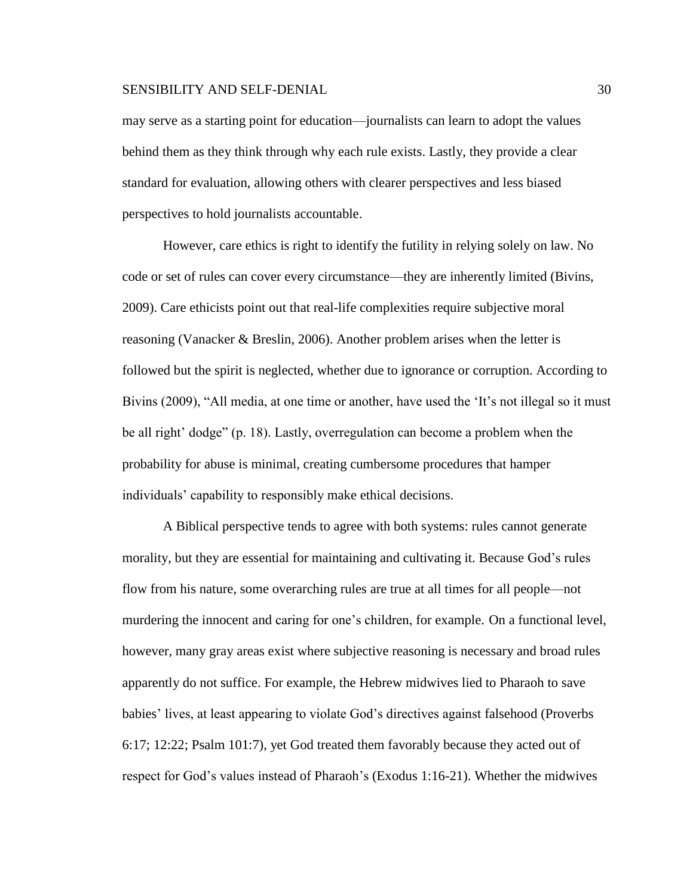may serve as a starting point for education—journalists can learn to adopt the values behind them as they think through why each rule exists. Lastly, they provide a clear standard for evaluation, allowing others with clearer perspectives and less biased perspectives to hold journalists accountable.

However, care ethics is right to identify the futility in relying solely on law. No code or set of rules can cover every circumstance—they are inherently limited (Bivins, 2009). Care ethicists point out that real-life complexities require subjective moral reasoning (Vanacker & Breslin, 2006). Another problem arises when the letter is followed but the spirit is neglected, whether due to ignorance or corruption. According to Bivins (2009), "All media, at one time or another, have used the 'It's not illegal so it must be all right' dodge" (p. 18). Lastly, overregulation can become a problem when the probability for abuse is minimal, creating cumbersome procedures that hamper individuals' capability to responsibly make ethical decisions.

A Biblical perspective tends to agree with both systems: rules cannot generate morality, but they are essential for maintaining and cultivating it. Because God's rules flow from his nature, some overarching rules are true at all times for all people—not murdering the innocent and caring for one's children, for example. On a functional level, however, many gray areas exist where subjective reasoning is necessary and broad rules apparently do not suffice. For example, the Hebrew midwives lied to Pharaoh to save babies' lives, at least appearing to violate God's directives against falsehood (Proverbs 6:17; 12:22; Psalm 101:7), yet God treated them favorably because they acted out of respect for God's values instead of Pharaoh's (Exodus 1:16-21). Whether the midwives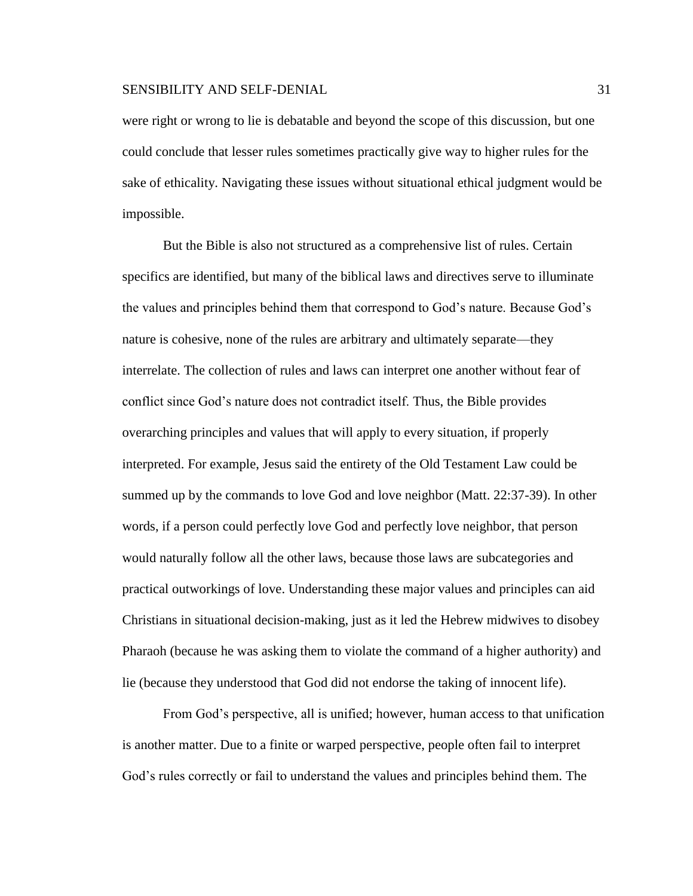were right or wrong to lie is debatable and beyond the scope of this discussion, but one could conclude that lesser rules sometimes practically give way to higher rules for the sake of ethicality. Navigating these issues without situational ethical judgment would be impossible.

But the Bible is also not structured as a comprehensive list of rules. Certain specifics are identified, but many of the biblical laws and directives serve to illuminate the values and principles behind them that correspond to God's nature. Because God's nature is cohesive, none of the rules are arbitrary and ultimately separate—they interrelate. The collection of rules and laws can interpret one another without fear of conflict since God's nature does not contradict itself. Thus, the Bible provides overarching principles and values that will apply to every situation, if properly interpreted. For example, Jesus said the entirety of the Old Testament Law could be summed up by the commands to love God and love neighbor (Matt. 22:37-39). In other words, if a person could perfectly love God and perfectly love neighbor, that person would naturally follow all the other laws, because those laws are subcategories and practical outworkings of love. Understanding these major values and principles can aid Christians in situational decision-making, just as it led the Hebrew midwives to disobey Pharaoh (because he was asking them to violate the command of a higher authority) and lie (because they understood that God did not endorse the taking of innocent life).

From God's perspective, all is unified; however, human access to that unification is another matter. Due to a finite or warped perspective, people often fail to interpret God's rules correctly or fail to understand the values and principles behind them. The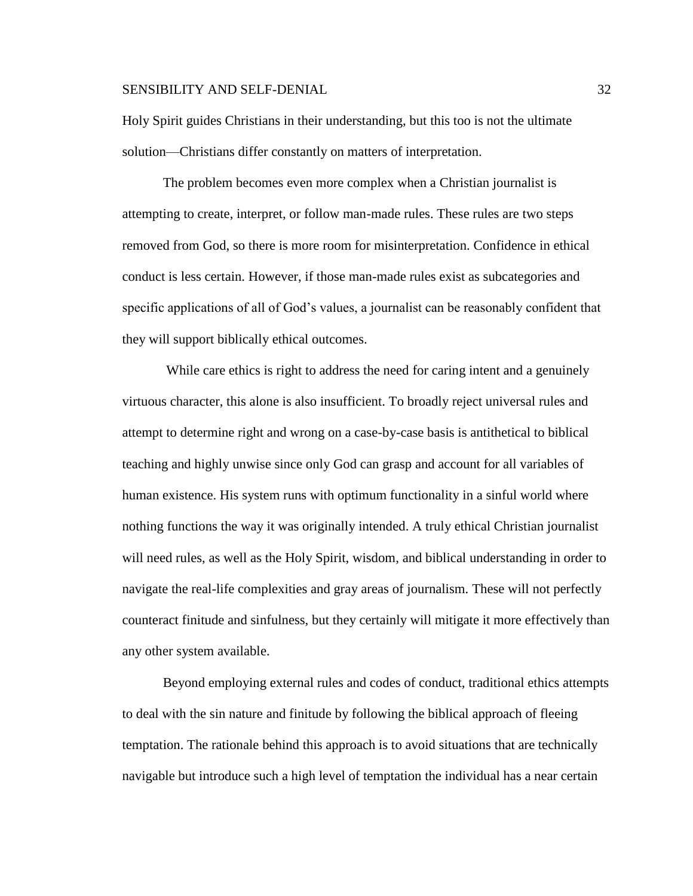Holy Spirit guides Christians in their understanding, but this too is not the ultimate solution—Christians differ constantly on matters of interpretation.

The problem becomes even more complex when a Christian journalist is attempting to create, interpret, or follow man-made rules. These rules are two steps removed from God, so there is more room for misinterpretation. Confidence in ethical conduct is less certain. However, if those man-made rules exist as subcategories and specific applications of all of God's values, a journalist can be reasonably confident that they will support biblically ethical outcomes.

While care ethics is right to address the need for caring intent and a genuinely virtuous character, this alone is also insufficient. To broadly reject universal rules and attempt to determine right and wrong on a case-by-case basis is antithetical to biblical teaching and highly unwise since only God can grasp and account for all variables of human existence. His system runs with optimum functionality in a sinful world where nothing functions the way it was originally intended. A truly ethical Christian journalist will need rules, as well as the Holy Spirit, wisdom, and biblical understanding in order to navigate the real-life complexities and gray areas of journalism. These will not perfectly counteract finitude and sinfulness, but they certainly will mitigate it more effectively than any other system available.

Beyond employing external rules and codes of conduct, traditional ethics attempts to deal with the sin nature and finitude by following the biblical approach of fleeing temptation. The rationale behind this approach is to avoid situations that are technically navigable but introduce such a high level of temptation the individual has a near certain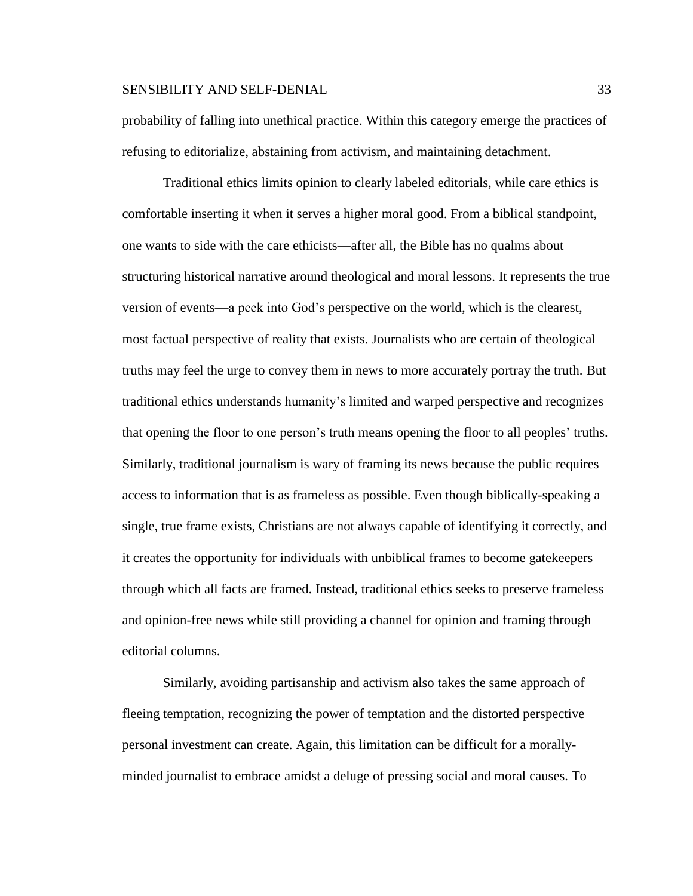probability of falling into unethical practice. Within this category emerge the practices of refusing to editorialize, abstaining from activism, and maintaining detachment.

Traditional ethics limits opinion to clearly labeled editorials, while care ethics is comfortable inserting it when it serves a higher moral good. From a biblical standpoint, one wants to side with the care ethicists—after all, the Bible has no qualms about structuring historical narrative around theological and moral lessons. It represents the true version of events—a peek into God's perspective on the world, which is the clearest, most factual perspective of reality that exists. Journalists who are certain of theological truths may feel the urge to convey them in news to more accurately portray the truth. But traditional ethics understands humanity's limited and warped perspective and recognizes that opening the floor to one person's truth means opening the floor to all peoples' truths. Similarly, traditional journalism is wary of framing its news because the public requires access to information that is as frameless as possible. Even though biblically-speaking a single, true frame exists, Christians are not always capable of identifying it correctly, and it creates the opportunity for individuals with unbiblical frames to become gatekeepers through which all facts are framed. Instead, traditional ethics seeks to preserve frameless and opinion-free news while still providing a channel for opinion and framing through editorial columns.

Similarly, avoiding partisanship and activism also takes the same approach of fleeing temptation, recognizing the power of temptation and the distorted perspective personal investment can create. Again, this limitation can be difficult for a morallyminded journalist to embrace amidst a deluge of pressing social and moral causes. To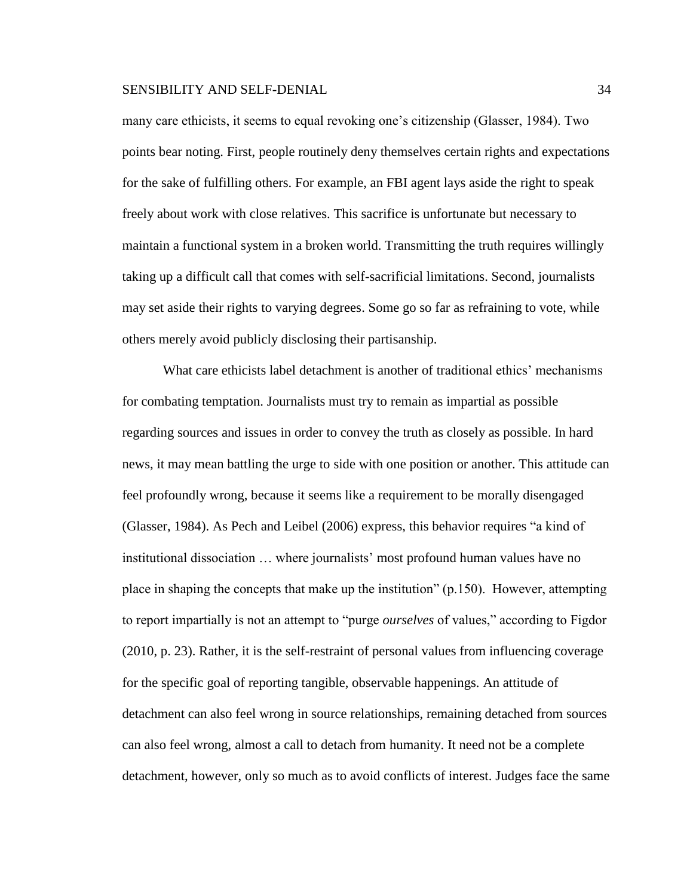many care ethicists, it seems to equal revoking one's citizenship (Glasser, 1984). Two points bear noting. First, people routinely deny themselves certain rights and expectations for the sake of fulfilling others. For example, an FBI agent lays aside the right to speak freely about work with close relatives. This sacrifice is unfortunate but necessary to maintain a functional system in a broken world. Transmitting the truth requires willingly taking up a difficult call that comes with self-sacrificial limitations. Second, journalists may set aside their rights to varying degrees. Some go so far as refraining to vote, while others merely avoid publicly disclosing their partisanship.

What care ethicists label detachment is another of traditional ethics' mechanisms for combating temptation. Journalists must try to remain as impartial as possible regarding sources and issues in order to convey the truth as closely as possible. In hard news, it may mean battling the urge to side with one position or another. This attitude can feel profoundly wrong, because it seems like a requirement to be morally disengaged (Glasser, 1984). As Pech and Leibel (2006) express, this behavior requires "a kind of institutional dissociation … where journalists' most profound human values have no place in shaping the concepts that make up the institution" (p.150). However, attempting to report impartially is not an attempt to "purge *ourselves* of values," according to Figdor (2010, p. 23). Rather, it is the self-restraint of personal values from influencing coverage for the specific goal of reporting tangible, observable happenings. An attitude of detachment can also feel wrong in source relationships, remaining detached from sources can also feel wrong, almost a call to detach from humanity. It need not be a complete detachment, however, only so much as to avoid conflicts of interest. Judges face the same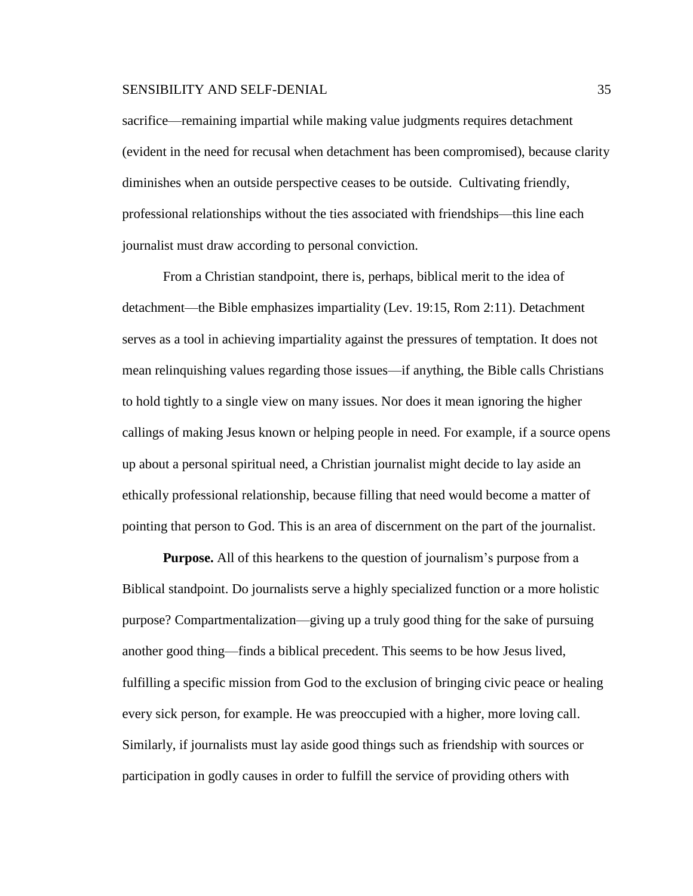sacrifice—remaining impartial while making value judgments requires detachment (evident in the need for recusal when detachment has been compromised), because clarity diminishes when an outside perspective ceases to be outside. Cultivating friendly, professional relationships without the ties associated with friendships—this line each journalist must draw according to personal conviction.

From a Christian standpoint, there is, perhaps, biblical merit to the idea of detachment—the Bible emphasizes impartiality (Lev. 19:15, Rom 2:11). Detachment serves as a tool in achieving impartiality against the pressures of temptation. It does not mean relinquishing values regarding those issues—if anything, the Bible calls Christians to hold tightly to a single view on many issues. Nor does it mean ignoring the higher callings of making Jesus known or helping people in need. For example, if a source opens up about a personal spiritual need, a Christian journalist might decide to lay aside an ethically professional relationship, because filling that need would become a matter of pointing that person to God. This is an area of discernment on the part of the journalist.

**Purpose.** All of this hearkens to the question of journalism's purpose from a Biblical standpoint. Do journalists serve a highly specialized function or a more holistic purpose? Compartmentalization—giving up a truly good thing for the sake of pursuing another good thing—finds a biblical precedent. This seems to be how Jesus lived, fulfilling a specific mission from God to the exclusion of bringing civic peace or healing every sick person, for example. He was preoccupied with a higher, more loving call. Similarly, if journalists must lay aside good things such as friendship with sources or participation in godly causes in order to fulfill the service of providing others with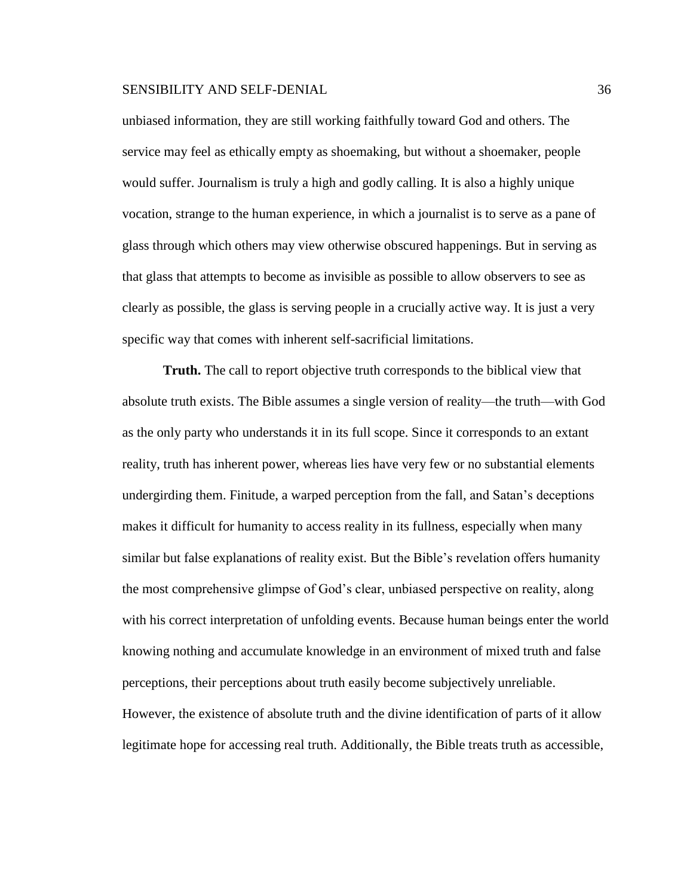unbiased information, they are still working faithfully toward God and others. The service may feel as ethically empty as shoemaking, but without a shoemaker, people would suffer. Journalism is truly a high and godly calling. It is also a highly unique vocation, strange to the human experience, in which a journalist is to serve as a pane of glass through which others may view otherwise obscured happenings. But in serving as that glass that attempts to become as invisible as possible to allow observers to see as clearly as possible, the glass is serving people in a crucially active way. It is just a very specific way that comes with inherent self-sacrificial limitations.

**Truth.** The call to report objective truth corresponds to the biblical view that absolute truth exists. The Bible assumes a single version of reality—the truth—with God as the only party who understands it in its full scope. Since it corresponds to an extant reality, truth has inherent power, whereas lies have very few or no substantial elements undergirding them. Finitude, a warped perception from the fall, and Satan's deceptions makes it difficult for humanity to access reality in its fullness, especially when many similar but false explanations of reality exist. But the Bible's revelation offers humanity the most comprehensive glimpse of God's clear, unbiased perspective on reality, along with his correct interpretation of unfolding events. Because human beings enter the world knowing nothing and accumulate knowledge in an environment of mixed truth and false perceptions, their perceptions about truth easily become subjectively unreliable. However, the existence of absolute truth and the divine identification of parts of it allow legitimate hope for accessing real truth. Additionally, the Bible treats truth as accessible,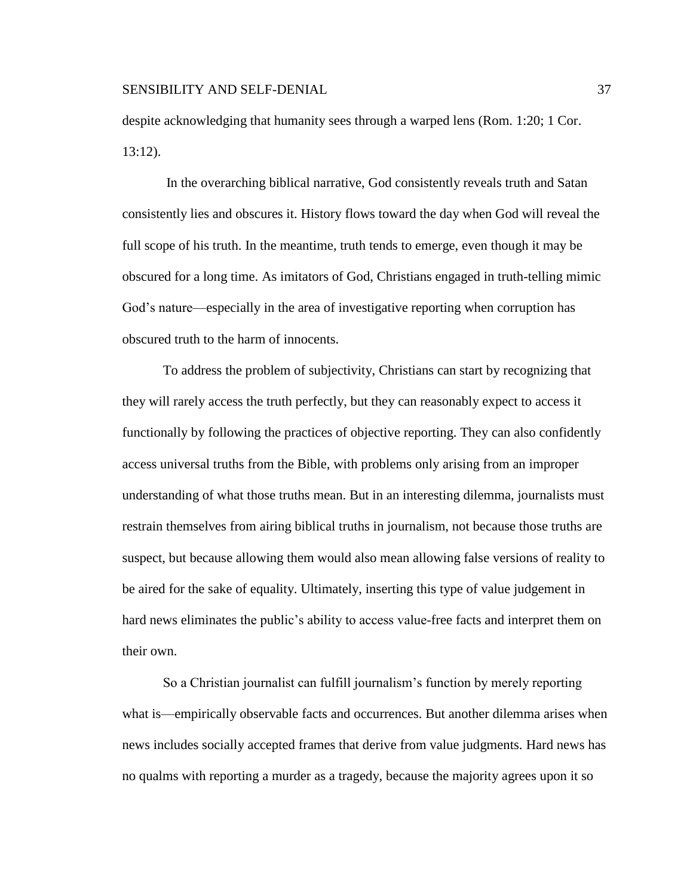despite acknowledging that humanity sees through a warped lens (Rom. 1:20; 1 Cor. 13:12).

In the overarching biblical narrative, God consistently reveals truth and Satan consistently lies and obscures it. History flows toward the day when God will reveal the full scope of his truth. In the meantime, truth tends to emerge, even though it may be obscured for a long time. As imitators of God, Christians engaged in truth-telling mimic God's nature—especially in the area of investigative reporting when corruption has obscured truth to the harm of innocents.

To address the problem of subjectivity, Christians can start by recognizing that they will rarely access the truth perfectly, but they can reasonably expect to access it functionally by following the practices of objective reporting. They can also confidently access universal truths from the Bible, with problems only arising from an improper understanding of what those truths mean. But in an interesting dilemma, journalists must restrain themselves from airing biblical truths in journalism, not because those truths are suspect, but because allowing them would also mean allowing false versions of reality to be aired for the sake of equality. Ultimately, inserting this type of value judgement in hard news eliminates the public's ability to access value-free facts and interpret them on their own.

So a Christian journalist can fulfill journalism's function by merely reporting what is—empirically observable facts and occurrences. But another dilemma arises when news includes socially accepted frames that derive from value judgments. Hard news has no qualms with reporting a murder as a tragedy, because the majority agrees upon it so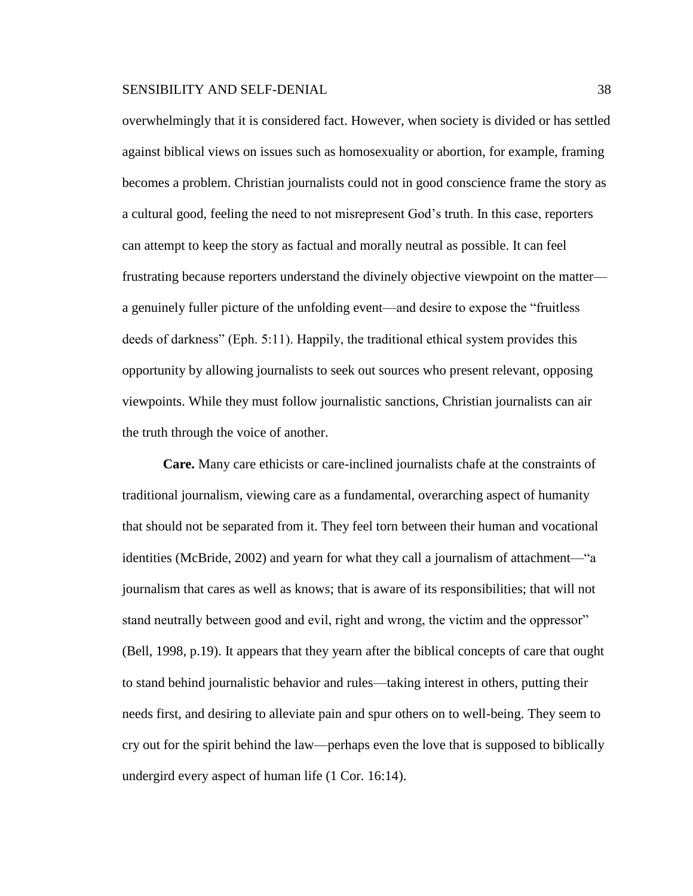overwhelmingly that it is considered fact. However, when society is divided or has settled against biblical views on issues such as homosexuality or abortion, for example, framing becomes a problem. Christian journalists could not in good conscience frame the story as a cultural good, feeling the need to not misrepresent God's truth. In this case, reporters can attempt to keep the story as factual and morally neutral as possible. It can feel frustrating because reporters understand the divinely objective viewpoint on the matter a genuinely fuller picture of the unfolding event—and desire to expose the "fruitless deeds of darkness" (Eph. 5:11). Happily, the traditional ethical system provides this opportunity by allowing journalists to seek out sources who present relevant, opposing viewpoints. While they must follow journalistic sanctions, Christian journalists can air the truth through the voice of another.

**Care.** Many care ethicists or care-inclined journalists chafe at the constraints of traditional journalism, viewing care as a fundamental, overarching aspect of humanity that should not be separated from it. They feel torn between their human and vocational identities (McBride, 2002) and yearn for what they call a journalism of attachment—"a journalism that cares as well as knows; that is aware of its responsibilities; that will not stand neutrally between good and evil, right and wrong, the victim and the oppressor" (Bell, 1998, p.19). It appears that they yearn after the biblical concepts of care that ought to stand behind journalistic behavior and rules—taking interest in others, putting their needs first, and desiring to alleviate pain and spur others on to well-being. They seem to cry out for the spirit behind the law—perhaps even the love that is supposed to biblically undergird every aspect of human life (1 Cor. 16:14).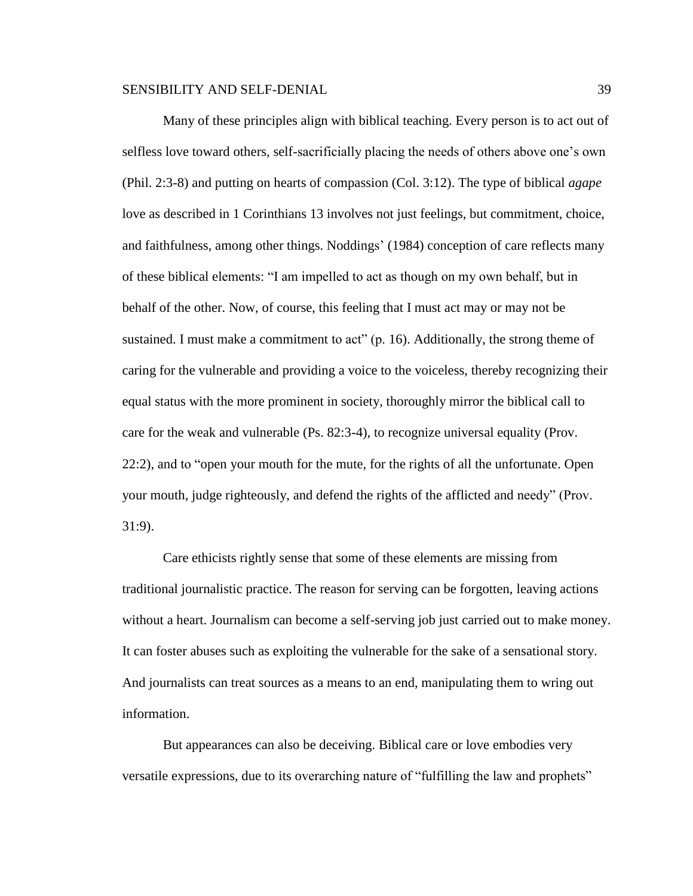Many of these principles align with biblical teaching. Every person is to act out of selfless love toward others, self-sacrificially placing the needs of others above one's own (Phil. 2:3-8) and putting on hearts of compassion (Col. 3:12). The type of biblical *agape* love as described in 1 Corinthians 13 involves not just feelings, but commitment, choice, and faithfulness, among other things. Noddings' (1984) conception of care reflects many of these biblical elements: "I am impelled to act as though on my own behalf, but in behalf of the other. Now, of course, this feeling that I must act may or may not be sustained. I must make a commitment to act"  $(p. 16)$ . Additionally, the strong theme of caring for the vulnerable and providing a voice to the voiceless, thereby recognizing their equal status with the more prominent in society, thoroughly mirror the biblical call to care for the weak and vulnerable (Ps. 82:3-4), to recognize universal equality (Prov. 22:2), and to "open your mouth for the mute, for the rights of all the unfortunate. Open your mouth, judge righteously, and defend the rights of the afflicted and needy" (Prov. 31:9).

Care ethicists rightly sense that some of these elements are missing from traditional journalistic practice. The reason for serving can be forgotten, leaving actions without a heart. Journalism can become a self-serving job just carried out to make money. It can foster abuses such as exploiting the vulnerable for the sake of a sensational story. And journalists can treat sources as a means to an end, manipulating them to wring out information.

But appearances can also be deceiving. Biblical care or love embodies very versatile expressions, due to its overarching nature of "fulfilling the law and prophets"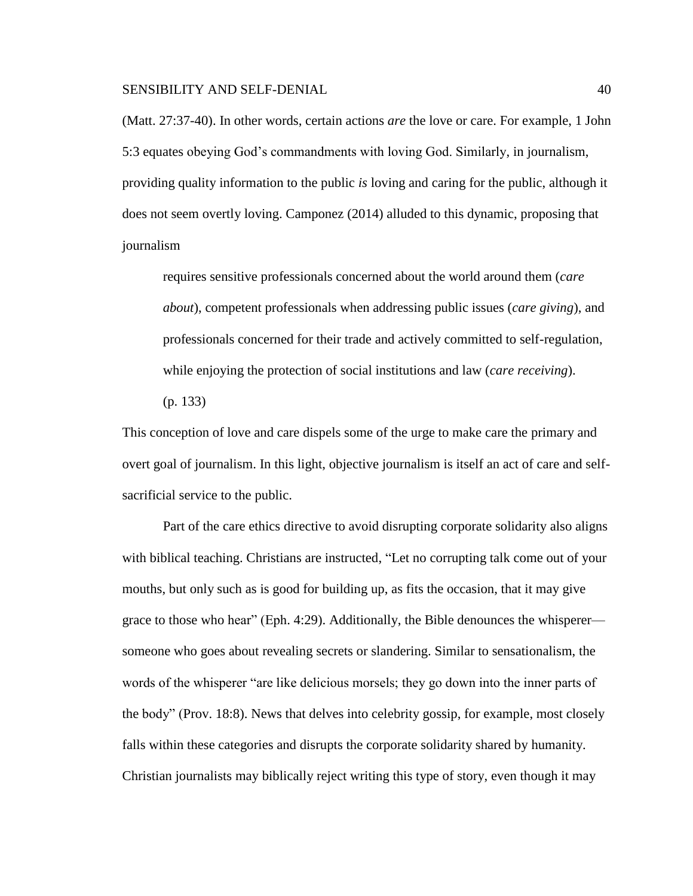(Matt. 27:37-40). In other words, certain actions *are* the love or care. For example, 1 John 5:3 equates obeying God's commandments with loving God. Similarly, in journalism, providing quality information to the public *is* loving and caring for the public, although it does not seem overtly loving. Camponez (2014) alluded to this dynamic, proposing that journalism

requires sensitive professionals concerned about the world around them (*care about*), competent professionals when addressing public issues (*care giving*), and professionals concerned for their trade and actively committed to self-regulation, while enjoying the protection of social institutions and law (*care receiving*). (p. 133)

This conception of love and care dispels some of the urge to make care the primary and overt goal of journalism. In this light, objective journalism is itself an act of care and selfsacrificial service to the public.

Part of the care ethics directive to avoid disrupting corporate solidarity also aligns with biblical teaching. Christians are instructed, "Let no corrupting talk come out of your mouths, but only such as is good for building up, as fits the occasion, that it may give grace to those who hear" (Eph. 4:29). Additionally, the Bible denounces the whisperer someone who goes about revealing secrets or slandering. Similar to sensationalism, the words of the whisperer "are like delicious morsels; they go down into the inner parts of the body" (Prov. 18:8). News that delves into celebrity gossip, for example, most closely falls within these categories and disrupts the corporate solidarity shared by humanity. Christian journalists may biblically reject writing this type of story, even though it may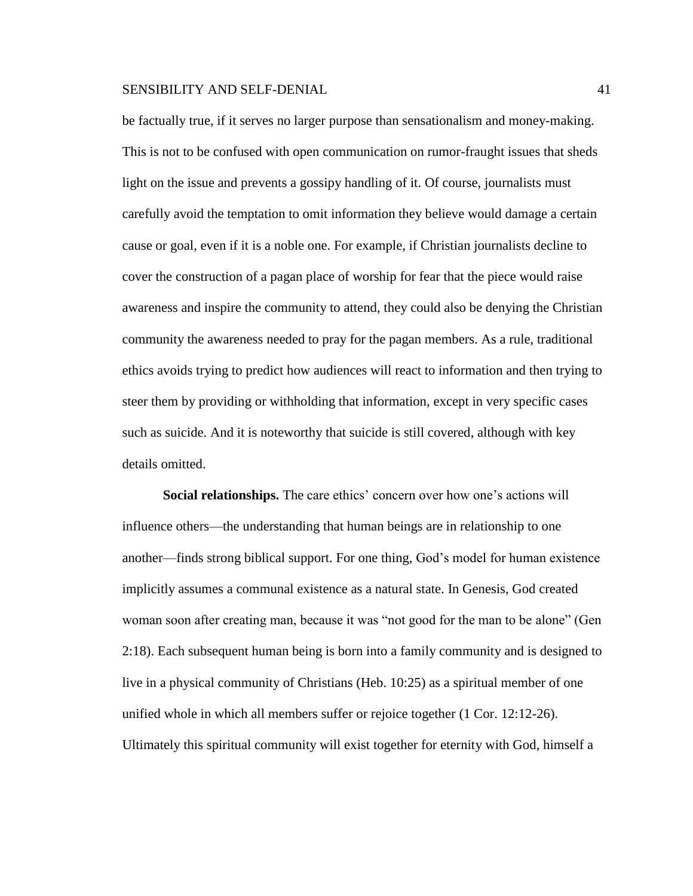be factually true, if it serves no larger purpose than sensationalism and money-making. This is not to be confused with open communication on rumor-fraught issues that sheds light on the issue and prevents a gossipy handling of it. Of course, journalists must carefully avoid the temptation to omit information they believe would damage a certain cause or goal, even if it is a noble one. For example, if Christian journalists decline to cover the construction of a pagan place of worship for fear that the piece would raise awareness and inspire the community to attend, they could also be denying the Christian community the awareness needed to pray for the pagan members. As a rule, traditional ethics avoids trying to predict how audiences will react to information and then trying to steer them by providing or withholding that information, except in very specific cases such as suicide. And it is noteworthy that suicide is still covered, although with key details omitted.

**Social relationships.** The care ethics' concern over how one's actions will influence others—the understanding that human beings are in relationship to one another—finds strong biblical support. For one thing, God's model for human existence implicitly assumes a communal existence as a natural state. In Genesis, God created woman soon after creating man, because it was "not good for the man to be alone" (Gen 2:18). Each subsequent human being is born into a family community and is designed to live in a physical community of Christians (Heb. 10:25) as a spiritual member of one unified whole in which all members suffer or rejoice together (1 Cor. 12:12-26). Ultimately this spiritual community will exist together for eternity with God, himself a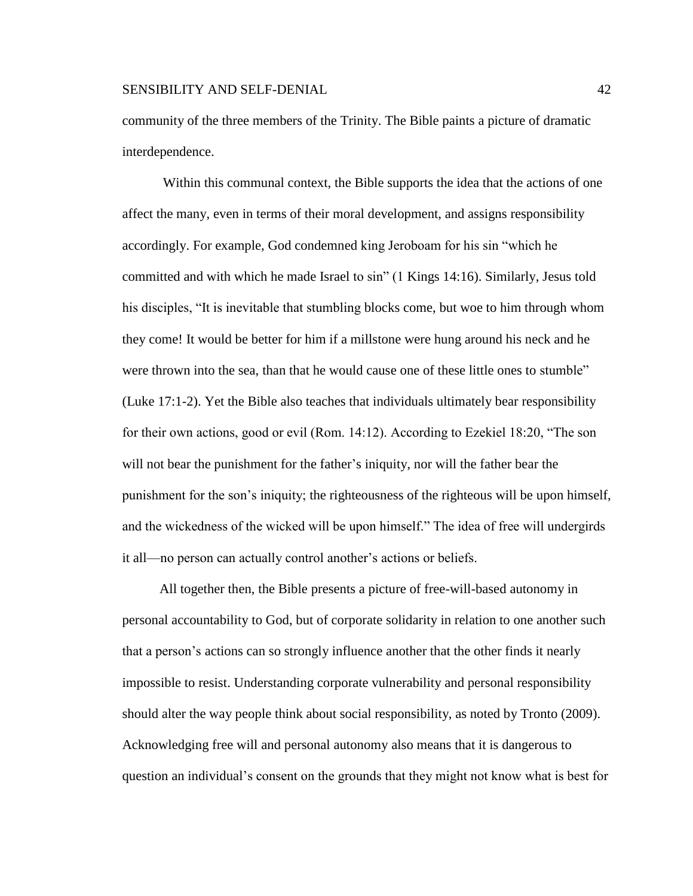community of the three members of the Trinity. The Bible paints a picture of dramatic interdependence.

Within this communal context, the Bible supports the idea that the actions of one affect the many, even in terms of their moral development, and assigns responsibility accordingly. For example, God condemned king Jeroboam for his sin "which he committed and with which he made Israel to sin" (1 Kings 14:16). Similarly, Jesus told his disciples, "It is inevitable that stumbling blocks come, but woe to him through whom they come! It would be better for him if a millstone were hung around his neck and he were thrown into the sea, than that he would cause one of these little ones to stumble" (Luke 17:1-2). Yet the Bible also teaches that individuals ultimately bear responsibility for their own actions, good or evil (Rom. 14:12). According to Ezekiel 18:20, "The son will not bear the punishment for the father's iniquity, nor will the father bear the punishment for the son's iniquity; the righteousness of the righteous will be upon himself, and the wickedness of the wicked will be upon himself." The idea of free will undergirds it all—no person can actually control another's actions or beliefs.

 All together then, the Bible presents a picture of free-will-based autonomy in personal accountability to God, but of corporate solidarity in relation to one another such that a person's actions can so strongly influence another that the other finds it nearly impossible to resist. Understanding corporate vulnerability and personal responsibility should alter the way people think about social responsibility, as noted by Tronto (2009). Acknowledging free will and personal autonomy also means that it is dangerous to question an individual's consent on the grounds that they might not know what is best for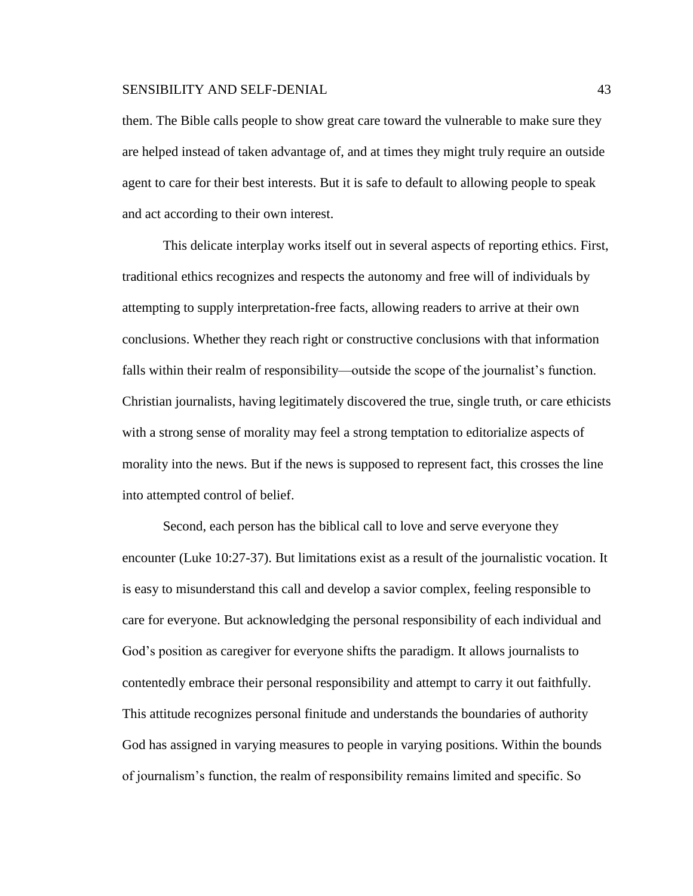them. The Bible calls people to show great care toward the vulnerable to make sure they are helped instead of taken advantage of, and at times they might truly require an outside agent to care for their best interests. But it is safe to default to allowing people to speak and act according to their own interest.

This delicate interplay works itself out in several aspects of reporting ethics. First, traditional ethics recognizes and respects the autonomy and free will of individuals by attempting to supply interpretation-free facts, allowing readers to arrive at their own conclusions. Whether they reach right or constructive conclusions with that information falls within their realm of responsibility—outside the scope of the journalist's function. Christian journalists, having legitimately discovered the true, single truth, or care ethicists with a strong sense of morality may feel a strong temptation to editorialize aspects of morality into the news. But if the news is supposed to represent fact, this crosses the line into attempted control of belief.

Second, each person has the biblical call to love and serve everyone they encounter (Luke 10:27-37). But limitations exist as a result of the journalistic vocation. It is easy to misunderstand this call and develop a savior complex, feeling responsible to care for everyone. But acknowledging the personal responsibility of each individual and God's position as caregiver for everyone shifts the paradigm. It allows journalists to contentedly embrace their personal responsibility and attempt to carry it out faithfully. This attitude recognizes personal finitude and understands the boundaries of authority God has assigned in varying measures to people in varying positions. Within the bounds of journalism's function, the realm of responsibility remains limited and specific. So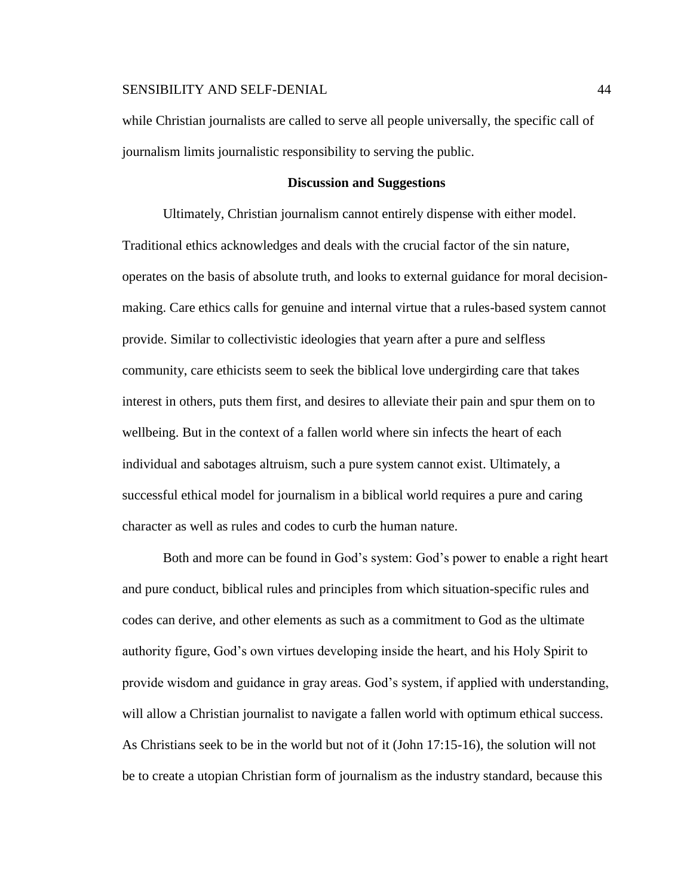while Christian journalists are called to serve all people universally, the specific call of journalism limits journalistic responsibility to serving the public.

# **Discussion and Suggestions**

Ultimately, Christian journalism cannot entirely dispense with either model. Traditional ethics acknowledges and deals with the crucial factor of the sin nature, operates on the basis of absolute truth, and looks to external guidance for moral decisionmaking. Care ethics calls for genuine and internal virtue that a rules-based system cannot provide. Similar to collectivistic ideologies that yearn after a pure and selfless community, care ethicists seem to seek the biblical love undergirding care that takes interest in others, puts them first, and desires to alleviate their pain and spur them on to wellbeing. But in the context of a fallen world where sin infects the heart of each individual and sabotages altruism, such a pure system cannot exist. Ultimately, a successful ethical model for journalism in a biblical world requires a pure and caring character as well as rules and codes to curb the human nature.

Both and more can be found in God's system: God's power to enable a right heart and pure conduct, biblical rules and principles from which situation-specific rules and codes can derive, and other elements as such as a commitment to God as the ultimate authority figure, God's own virtues developing inside the heart, and his Holy Spirit to provide wisdom and guidance in gray areas. God's system, if applied with understanding, will allow a Christian journalist to navigate a fallen world with optimum ethical success. As Christians seek to be in the world but not of it (John 17:15-16), the solution will not be to create a utopian Christian form of journalism as the industry standard, because this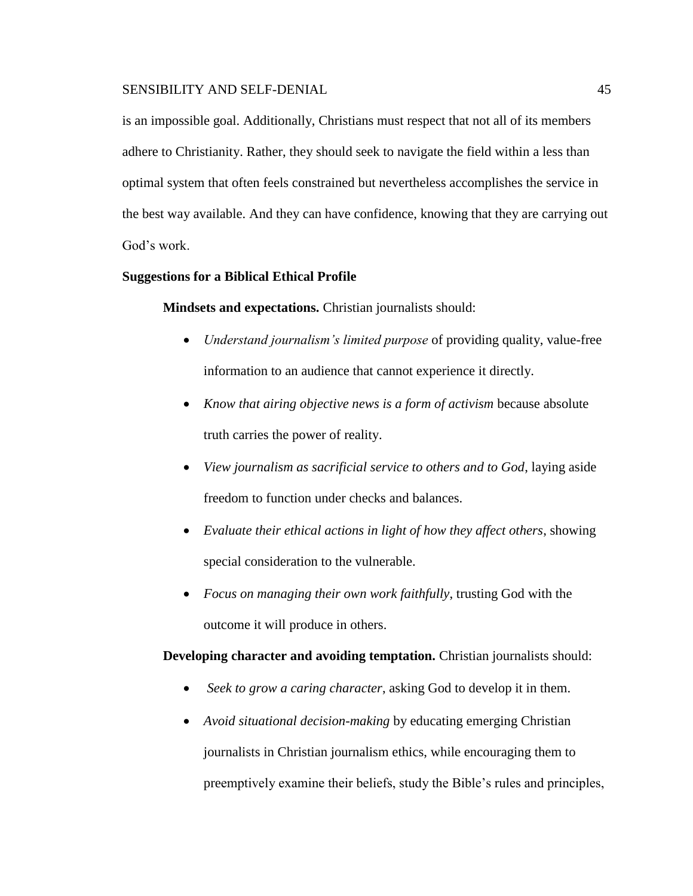is an impossible goal. Additionally, Christians must respect that not all of its members adhere to Christianity. Rather, they should seek to navigate the field within a less than optimal system that often feels constrained but nevertheless accomplishes the service in the best way available. And they can have confidence, knowing that they are carrying out God's work.

# **Suggestions for a Biblical Ethical Profile**

**Mindsets and expectations.** Christian journalists should:

- *Understand journalism's limited purpose* of providing quality, value-free information to an audience that cannot experience it directly.
- *Know that airing objective news is a form of activism* because absolute truth carries the power of reality.
- *View journalism as sacrificial service to others and to God*, laying aside freedom to function under checks and balances.
- *Evaluate their ethical actions in light of how they affect others*, showing special consideration to the vulnerable.
- *Focus on managing their own work faithfully*, trusting God with the outcome it will produce in others.

**Developing character and avoiding temptation.** Christian journalists should:

- *Seek to grow a caring character*, asking God to develop it in them.
- *Avoid situational decision-making* by educating emerging Christian journalists in Christian journalism ethics, while encouraging them to preemptively examine their beliefs, study the Bible's rules and principles,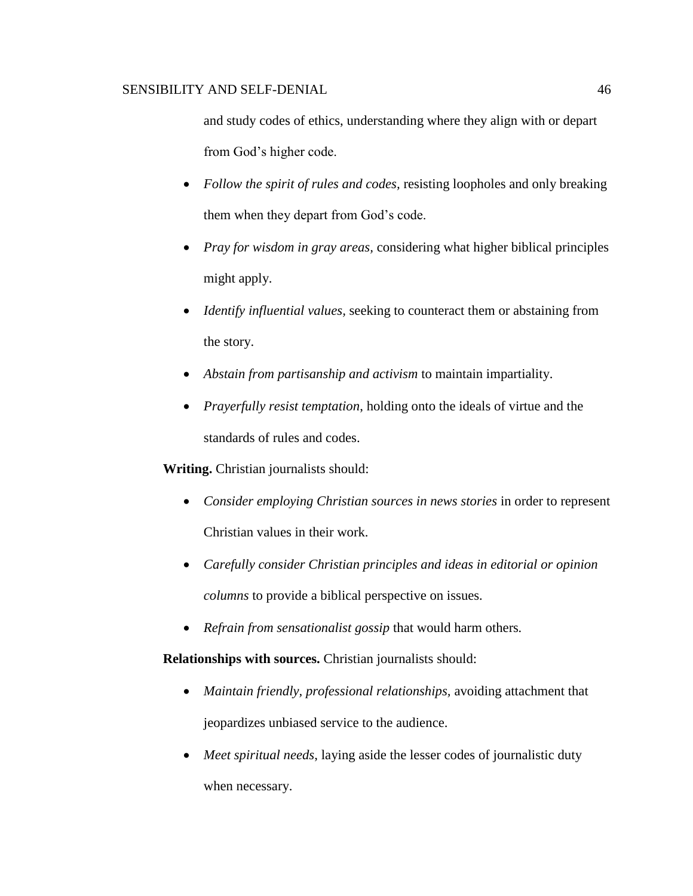and study codes of ethics, understanding where they align with or depart from God's higher code.

- *Follow the spirit of rules and codes,* resisting loopholes and only breaking them when they depart from God's code.
- *Pray for wisdom in gray areas,* considering what higher biblical principles might apply.
- *Identify influential values,* seeking to counteract them or abstaining from the story.
- *Abstain from partisanship and activism* to maintain impartiality.
- *Prayerfully resist temptation*, holding onto the ideals of virtue and the standards of rules and codes.

**Writing.** Christian journalists should:

- *Consider employing Christian sources in news stories* in order to represent Christian values in their work.
- *Carefully consider Christian principles and ideas in editorial or opinion columns* to provide a biblical perspective on issues*.*
- *Refrain from sensationalist gossip* that would harm others*.*

**Relationships with sources.** Christian journalists should:

- *Maintain friendly, professional relationships, avoiding attachment that* jeopardizes unbiased service to the audience.
- *Meet spiritual needs*, laying aside the lesser codes of journalistic duty when necessary.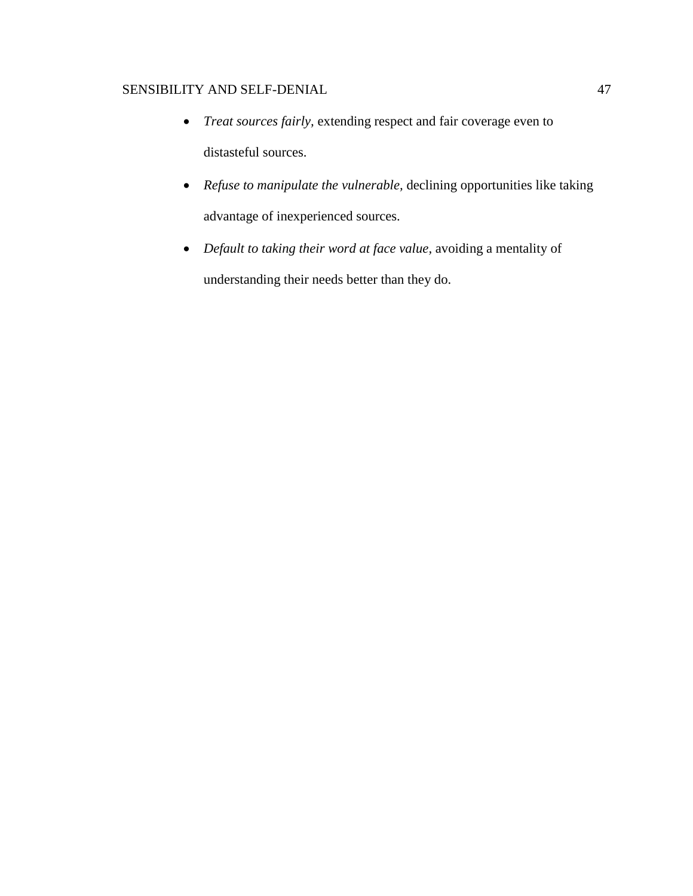- *Treat sources fairly,* extending respect and fair coverage even to distasteful sources.
- *Refuse to manipulate the vulnerable,* declining opportunities like taking advantage of inexperienced sources.
- *Default to taking their word at face value,* avoiding a mentality of understanding their needs better than they do.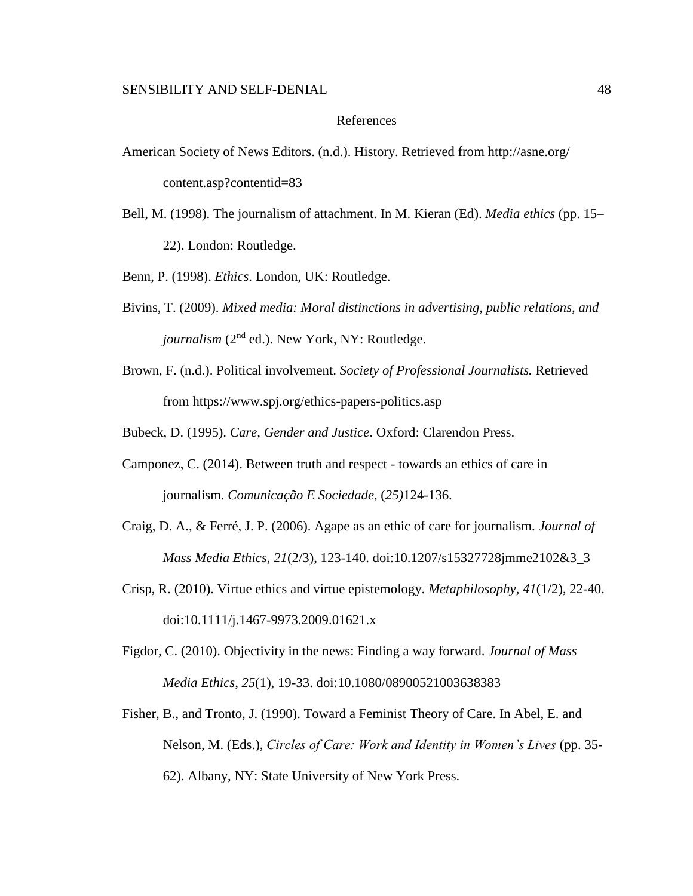# References

- American Society of News Editors. (n.d.). History. Retrieved from http://asne.org/ content.asp?contentid=83
- Bell, M. (1998). The journalism of attachment. In M. Kieran (Ed). *Media ethics* (pp. 15– 22). London: Routledge.

Benn, P. (1998). *Ethics*. London, UK: Routledge.

- Bivins, T. (2009). *Mixed media: Moral distinctions in advertising, public relations, and journalism* (2<sup>nd</sup> ed.). New York, NY: Routledge.
- Brown, F. (n.d.). Political involvement. *Society of Professional Journalists.* Retrieved from https://www.spj.org/ethics-papers-politics.asp

Bubeck, D. (1995). *Care, Gender and Justice*. Oxford: Clarendon Press.

- Camponez, C. (2014). Between truth and respect towards an ethics of care in journalism. *Comunicação E Sociedade*, (*25)*124-136.
- Craig, D. A., & Ferré, J. P. (2006). Agape as an ethic of care for journalism. *Journal of Mass Media Ethics*, *21*(2/3), 123-140. doi:10.1207/s15327728jmme2102&3\_3
- Crisp, R. (2010). Virtue ethics and virtue epistemology. *Metaphilosophy*, *41*(1/2), 22-40. doi:10.1111/j.1467-9973.2009.01621.x
- Figdor, C. (2010). Objectivity in the news: Finding a way forward. *Journal of Mass Media Ethics*, *25*(1), 19-33. doi:10.1080/08900521003638383
- Fisher, B., and Tronto, J. (1990). Toward a Feminist Theory of Care. In Abel, E. and Nelson, M. (Eds.), *Circles of Care: Work and Identity in Women's Lives* (pp. 35- 62). Albany, NY: State University of New York Press.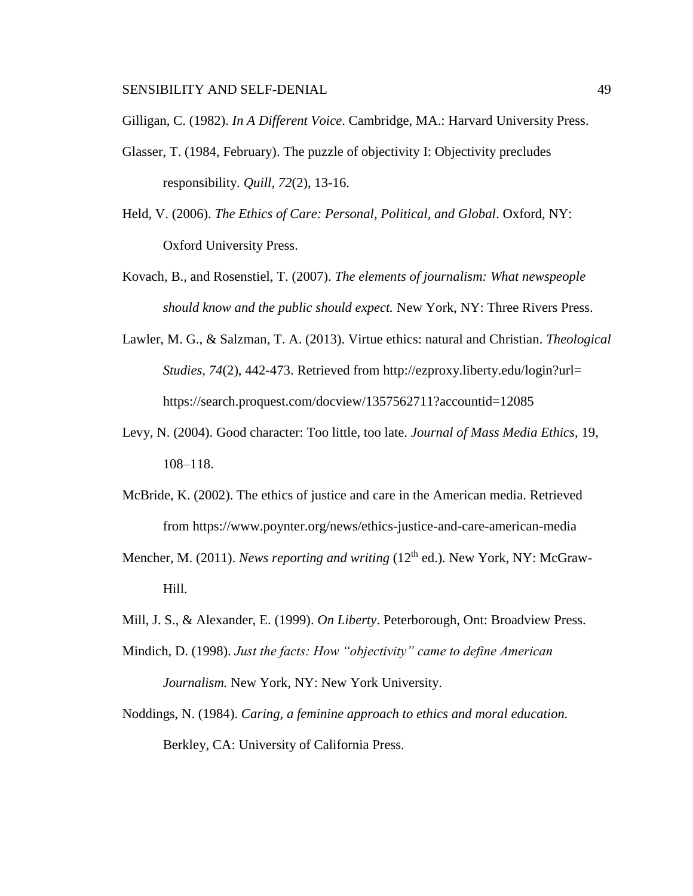Gilligan, C. (1982). *In A Different Voice*. Cambridge, MA.: Harvard University Press.

- Glasser, T. (1984, February). The puzzle of objectivity I: Objectivity precludes responsibility. *Quill, 72*(2), 13-16.
- Held, V. (2006). *The Ethics of Care: Personal, Political, and Global*. Oxford, NY: Oxford University Press.
- Kovach, B., and Rosenstiel, T. (2007). *The elements of journalism: What newspeople should know and the public should expect.* New York, NY: Three Rivers Press.
- Lawler, M. G., & Salzman, T. A. (2013). Virtue ethics: natural and Christian. *Theological Studies, 74*(2), 442-473. Retrieved from http://ezproxy.liberty.edu/login?url= https://search.proquest.com/docview/1357562711?accountid=12085
- Levy, N. (2004). Good character: Too little, too late. *Journal of Mass Media Ethics*, 19, 108–118.
- McBride, K. (2002). The ethics of justice and care in the American media. Retrieved from https://www.poynter.org/news/ethics-justice-and-care-american-media
- Mencher, M. (2011). *News reporting and writing* (12<sup>th</sup> ed.). New York, NY: McGraw-Hill.
- Mill, J. S., & Alexander, E. (1999). *On Liberty*. Peterborough, Ont: Broadview Press.
- Mindich, D. (1998). *Just the facts: How "objectivity" came to define American Journalism.* New York, NY: New York University.
- Noddings, N. (1984). *Caring, a feminine approach to ethics and moral education.* Berkley, CA: University of California Press.